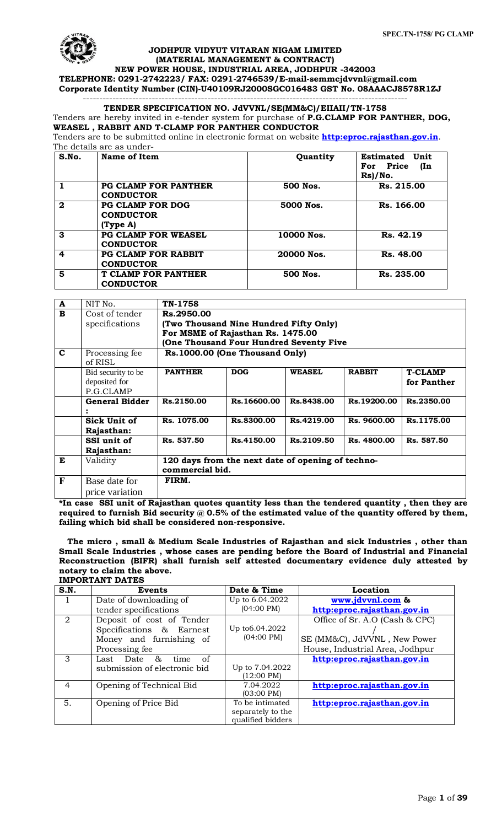

# **JODHPUR VIDYUT VITARAN NIGAM LIMITED (MATERIAL MANAGEMENT & CONTRACT)**

**NEW POWER HOUSE, INDUSTRIAL AREA, JODHPUR -342003 TELEPHONE: 0291-2742223/ FAX: 0291-2746539/E-mail-[semmcjdvvnl@gmail.com](mailto:semmcjdvvnl@gmail.com) Corporate Identity Number (CIN)-U40109RJ2000SGC016483 GST No. 08AAACJ8578R1ZJ**

#### --------------------------------------------------------------------------------------------------- **TENDER SPECIFICATION NO. JdVVNL/SE(MM&C)/EIIAII/TN-1758**

Tenders are hereby invited in e-tender system for purchase of **P.G.CLAMP FOR PANTHER, DOG, WEASEL , RABBIT AND T-CLAMP FOR PANTHER CONDUCTOR**

Tenders are to be submitted online in electronic format on website **[http:eproc.rajasthan.gov.in](http://www.eproc.rajasthan.gov.in/nicgep/app)**. The details are as under-

| S.No.        | Name of Item                                           | Quantity   | Estimated<br>Unit<br>For Price<br>(In<br>$Rs$ )/No. |
|--------------|--------------------------------------------------------|------------|-----------------------------------------------------|
|              | <b>PG CLAMP FOR PANTHER</b><br><b>CONDUCTOR</b>        | 500 Nos.   | Rs. 215.00                                          |
| $\mathbf{2}$ | <b>PG CLAMP FOR DOG</b><br><b>CONDUCTOR</b><br>(TvpeA) | 5000 Nos.  | Rs. 166.00                                          |
| 3            | <b>PG CLAMP FOR WEASEL</b><br><b>CONDUCTOR</b>         | 10000 Nos. | Rs. 42.19                                           |
| 4            | <b>PG CLAMP FOR RABBIT</b><br><b>CONDUCTOR</b>         | 20000 Nos. | Rs. 48.00                                           |
| 5            | <b>T CLAMP FOR PANTHER</b><br><b>CONDUCTOR</b>         | 500 Nos.   | Rs. 235.00                                          |

| A            | NIT No.               | TN-1758                                |                                                   |               |               |                |  |
|--------------|-----------------------|----------------------------------------|---------------------------------------------------|---------------|---------------|----------------|--|
| B            | Cost of tender        | Rs.2950.00                             |                                                   |               |               |                |  |
|              | specifications        | (Two Thousand Nine Hundred Fifty Only) |                                                   |               |               |                |  |
|              |                       | For MSME of Rajasthan Rs. 1475.00      |                                                   |               |               |                |  |
|              |                       |                                        | (One Thousand Four Hundred Seventy Five           |               |               |                |  |
| C            | Processing fee        |                                        | Rs.1000.00 (One Thousand Only)                    |               |               |                |  |
|              | of RISL               |                                        |                                                   |               |               |                |  |
|              | Bid security to be    | <b>PANTHER</b>                         | <b>DOG</b>                                        | <b>WEASEL</b> | <b>RABBIT</b> | <b>T-CLAMP</b> |  |
|              | deposited for         |                                        |                                                   |               |               | for Panther    |  |
|              | P.G.CLAMP             |                                        |                                                   |               |               |                |  |
|              | <b>General Bidder</b> | Rs.2150.00                             | Rs.16600.00                                       | Rs.8438.00    | Rs.19200.00   | Rs.2350.00     |  |
|              |                       |                                        |                                                   |               |               |                |  |
|              | Sick Unit of          | Rs. 1075.00                            | Rs.8300.00                                        | Rs.4219.00    | Rs. 9600.00   | Rs.1175.00     |  |
|              | Rajasthan:            |                                        |                                                   |               |               |                |  |
|              | SSI unit of           | Rs. 537.50                             | Rs.4150.00                                        | Rs.2109.50    | Rs. 4800.00   | Rs. 587.50     |  |
|              | Rajasthan:            |                                        |                                                   |               |               |                |  |
| E            | Validity              |                                        | 120 days from the next date of opening of techno- |               |               |                |  |
|              |                       | commercial bid.                        |                                                   |               |               |                |  |
| $\mathbf{F}$ | Base date for         | FIRM.                                  |                                                   |               |               |                |  |
|              | price variation       |                                        |                                                   |               |               |                |  |

**\*In case SSI unit of Rajasthan quotes quantity less than the tendered quantity , then they are**  required to furnish Bid security @ 0.5% of the estimated value of the quantity offered by them, **failing which bid shall be considered non-responsive.**

 **The micro , small & Medium Scale Industries of Rajasthan and sick Industries , other than Small Scale Industries , whose cases are pending before the Board of Industrial and Financial Reconstruction (BIFR) shall furnish self attested documentary evidence duly attested by notary to claim the above. IMPORTANT DATES**

| S.N.           | <b>Events</b>                             | Date & Time          | Location                        |
|----------------|-------------------------------------------|----------------------|---------------------------------|
| $\mathbf{L}$   | Date of downloading of                    | Up to 6.04.2022      | www.jdvvnl.com &                |
|                | tender specifications                     | $(04:00 \text{ PM})$ | http:eproc.rajasthan.gov.in     |
| $\mathcal{D}$  | Deposit of cost of Tender                 |                      | Office of Sr. A.O (Cash & CPC)  |
|                | Specifications & Earnest                  | Up to 6.04.2022      |                                 |
|                | Money and furnishing of                   | $(04:00 \text{ PM})$ | SE (MM&C), JdVVNL, New Power    |
|                | Processing fee                            |                      | House, Industrial Area, Jodhpur |
| 3              | of<br>8 <sub>5</sub><br>Last Date<br>time |                      | http:eproc.rajasthan.gov.in     |
|                | submission of electronic bid              | Up to 7.04.2022      |                                 |
|                |                                           | $(12:00 \text{ PM})$ |                                 |
| $\overline{4}$ | Opening of Technical Bid                  | 7.04.2022            | http:eproc.rajasthan.gov.in     |
|                |                                           | $(03:00 \text{ PM})$ |                                 |
| 5.             | Opening of Price Bid                      | To be intimated      | http:eproc.rajasthan.gov.in     |
|                |                                           | separately to the    |                                 |
|                |                                           | qualified bidders    |                                 |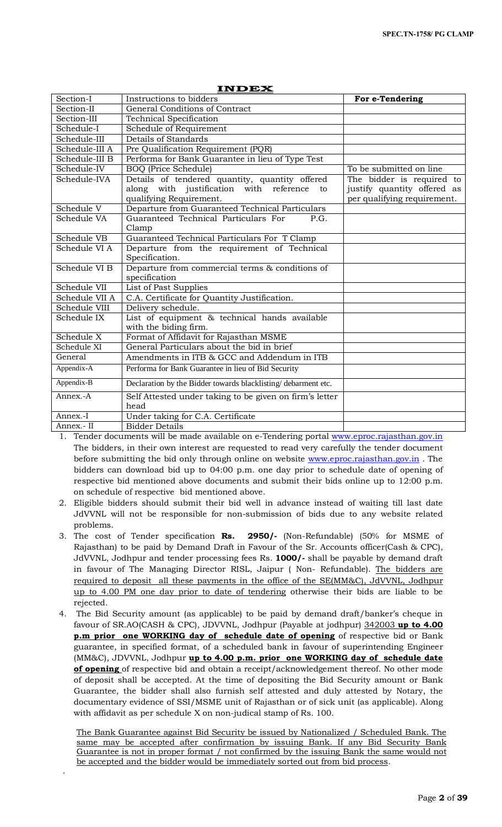| Section-I      | Instructions to bidders                                                  | For e-Tendering                                            |
|----------------|--------------------------------------------------------------------------|------------------------------------------------------------|
| Section-II     | General Conditions of Contract                                           |                                                            |
| Section-III    | <b>Technical Specification</b>                                           |                                                            |
| Schedule-I     | Schedule of Requirement                                                  |                                                            |
| Schedule-III   | Details of Standards                                                     |                                                            |
| Schedule-III A | Pre Qualification Requirement (PQR)                                      |                                                            |
| Schedule-III B | Performa for Bank Guarantee in lieu of Type Test                         |                                                            |
| Schedule-IV    | <b>BOQ</b> (Price Schedule)                                              | To be submitted on line                                    |
| Schedule-IVA   | Details of tendered quantity, quantity offered                           | The bidder is required to                                  |
|                | along with justification with reference<br>to<br>qualifying Requirement. | justify quantity offered as<br>per qualifying requirement. |
| Schedule V     | Departure from Guaranteed Technical Particulars                          |                                                            |
| Schedule VA    | Guaranteed Technical Particulars For<br>P.G.                             |                                                            |
|                | Clamp                                                                    |                                                            |
| Schedule VB    | Guaranteed Technical Particulars For T Clamp                             |                                                            |
| Schedule VI A  | Departure from the requirement of Technical                              |                                                            |
|                | Specification.                                                           |                                                            |
| Schedule VI B  | Departure from commercial terms & conditions of                          |                                                            |
|                | specification                                                            |                                                            |
| Schedule VII   | List of Past Supplies                                                    |                                                            |
| Schedule VII A | C.A. Certificate for Quantity Justification.                             |                                                            |
| Schedule VIII  | Delivery schedule.                                                       |                                                            |
| Schedule IX    | List of equipment & technical hands available<br>with the biding firm.   |                                                            |
| Schedule X     | Format of Affidavit for Rajasthan MSME                                   |                                                            |
| Schedule XI    | General Particulars about the bid in brief                               |                                                            |
| General        | Amendments in ITB & GCC and Addendum in ITB                              |                                                            |
| Appendix-A     | Performa for Bank Guarantee in lieu of Bid Security                      |                                                            |
| Appendix-B     | Declaration by the Bidder towards blacklisting/debarment etc.            |                                                            |
| Annex.-A       | Self Attested under taking to be given on firm's letter                  |                                                            |
|                | head                                                                     |                                                            |
| Annex.-I       | Under taking for C.A. Certificate                                        |                                                            |
| Annex.- II     | <b>Bidder Details</b>                                                    |                                                            |

1. Tender documents will be made available on e-Tendering portal www.eproc.rajasthan.gov.in The bidders, in their own interest are requested to read very carefully the tender document before submitting the bid only through online on website [www.eproc.rajasthan.gov.in](http://www.eproc.rajasthan.gov.in/). bidders can download bid up to 04:00 p.m. one day prior to schedule date of opening of respective bid mentioned above documents and submit their bids online up to 12:00 p.m. on schedule of respective bid mentioned above.

- 2. Eligible bidders should submit their bid well in advance instead of waiting till last date JdVVNL will not be responsible for non-submission of bids due to any website related problems.
- 3. The cost of Tender specification **Rs. 2950/-** (Non-Refundable) (50% for MSME of Rajasthan) to be paid by Demand Draft in Favour of the Sr. Accounts officer(Cash & CPC), JdVVNL, Jodhpur and tender processing fees Rs. **1000/-** shall be payable by demand draft in favour of The Managing Director RISL, Jaipur ( Non- Refundable). The bidders are required to deposit all these payments in the office of the SE(MM&C), JdVVNL, Jodhpur up to 4.00 PM one day prior to date of tendering otherwise their bids are liable to be rejected.
- 4. The Bid Security amount (as applicable) to be paid by demand draft/banker's cheque in favour of SR.AO(CASH & CPC), JDVVNL, Jodhpur (Payable at jodhpur) 342003 **up to 4.00 p.m prior one WORKING day of schedule date of opening** of respective bid or Bank guarantee, in specified format, of a scheduled bank in favour of superintending Engineer (MM&C), JDVVNL, Jodhpur **up to 4.00 p.m. prior one WORKING day of schedule date of opening** of respective bid and obtain a receipt/acknowledgement thereof. No other mode of deposit shall be accepted. At the time of depositing the Bid Security amount or Bank Guarantee, the bidder shall also furnish self attested and duly attested by Notary, the documentary evidence of SSI/MSME unit of Rajasthan or of sick unit (as applicable). Along with affidavit as per schedule X on non-judical stamp of Rs. 100.

The Bank Guarantee against Bid Security be issued by Nationalized / Scheduled Bank. The same may be accepted after confirmation by issuing Bank. If any Bid Security Bank Guarantee is not in proper format / not confirmed by the issuing Bank the same would not be accepted and the bidder would be immediately sorted out from bid process.

.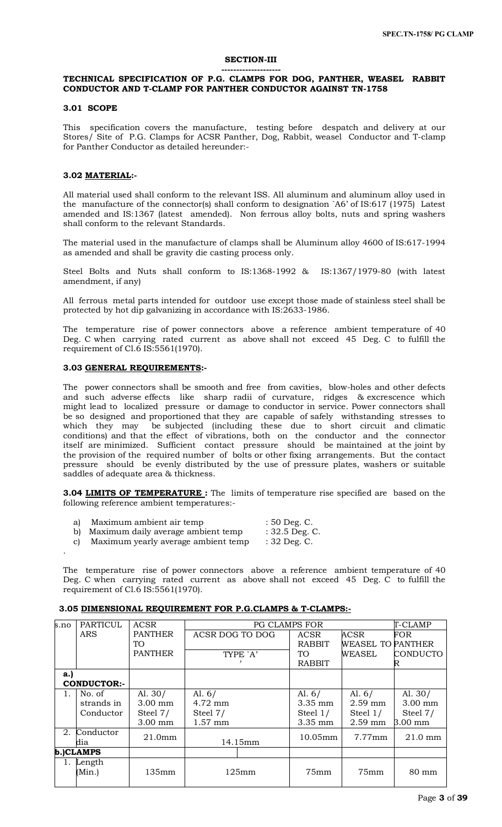#### **SECTION-III**

#### **--------------------**

# **TECHNICAL SPECIFICATION OF P.G. CLAMPS FOR DOG, PANTHER, WEASEL RABBIT CONDUCTOR AND T-CLAMP FOR PANTHER CONDUCTOR AGAINST TN-1758**

#### **3.01 SCOPE**

This specification covers the manufacture, testing before despatch and delivery at our Stores/ Site of P.G. Clamps for ACSR Panther, Dog, Rabbit, weasel Conductor and T-clamp for Panther Conductor as detailed hereunder:-

# **3.02 MATERIAL:-**

All material used shall conform to the relevant ISS. All aluminum and aluminum alloy used in the manufacture of the connector(s) shall conform to designation `A6' of IS:617 (1975) Latest amended and IS:1367 (latest amended). Non ferrous alloy bolts, nuts and spring washers shall conform to the relevant Standards.

The material used in the manufacture of clamps shall be Aluminum alloy 4600 of IS:617-1994 as amended and shall be gravity die casting process only.

Steel Bolts and Nuts shall conform to IS:1368-1992 & IS:1367/1979-80 (with latest amendment, if any)

All ferrous metal parts intended for outdoor use except those made of stainless steel shall be protected by hot dip galvanizing in accordance with IS:2633-1986.

The temperature rise of power connectors above a reference ambient temperature of 40 Deg. C when carrying rated current as above shall not exceed 45 Deg. C to fulfill the requirement of Cl.6 IS:5561(1970).

#### **3.03 GENERAL REQUIREMENTS:-**

.

The power connectors shall be smooth and free from cavities, blow-holes and other defects and such adverse effects like sharp radii of curvature, ridges & excrescence which might lead to localized pressure or damage to conductor in service. Power connectors shall be so designed and proportioned that they are capable of safely withstanding stresses to which they may be subjected (including these due to short circuit and climatic conditions) and that the effect of vibrations, both on the conductor and the connector itself are minimized. Sufficient contact pressure should be maintained at the joint by the provision of the required number of bolts or other fixing arrangements. But the contact pressure should be evenly distributed by the use of pressure plates, washers or suitable saddles of adequate area & thickness.

**3.04 LIMITS OF TEMPERATURE :** The limits of temperature rise specified are based on the following reference ambient temperatures:-

| Maximum ambient air temp              | $: 50$ Deg. C.            |
|---------------------------------------|---------------------------|
| b) Maximum daily average ambient temp | $\cdot$ 30 5 Dec $\Gamma$ |

<code>⁄nax</code>ımum daily average ambient temp

c) Maximum yearly average ambient temp : 32 Deg. C.

The temperature rise of power connectors above a reference ambient temperature of 40 Deg. C when carrying rated current as above shall not exceed 45 Deg. C to fulfill the requirement of Cl.6 IS:5561(1970).

| s.no    | PARTICUL           | ACSR               |                 | <b>PG CLAMPS FOR</b> |               |                          | T-CLAMP           |
|---------|--------------------|--------------------|-----------------|----------------------|---------------|--------------------------|-------------------|
|         | ARS                | <b>PANTHER</b>     | ACSR DOG TO DOG |                      | ACSR          | <b>ACSR</b>              | <b>FOR</b>        |
|         |                    | TO <sub>1</sub>    |                 |                      | RABBIT        | <b>WEASEL TO PANTHER</b> |                   |
|         |                    | <b>PANTHER</b>     |                 | TYPE `A'             | TO.           | WEASEL                   | <b>CONDUCTO</b>   |
|         |                    |                    |                 |                      | <b>RABBIT</b> |                          | ĸ                 |
| a.      |                    |                    |                 |                      |               |                          |                   |
|         | <b>CONDUCTOR:-</b> |                    |                 |                      |               |                          |                   |
| $1_{-}$ | No. of             | Al. $30/$          | Al. $6/$        |                      | Al. $6/$      | Al. $6/$                 | Al. $30/$         |
|         | strands in         | $3.00$ mm          | $4.72$ mm       |                      | $3.35$ mm     | $2.59$ mm                | $3.00$ mm         |
|         | Conductor          | Steel 7/           | Steel 7/        |                      | Steel $1/$    | Steel $1/$               | Steel 7/          |
|         |                    | $3.00$ mm          | $1.57$ mm       |                      | $3.35$ mm     | $2.59$ mm                | $3.00$ mm         |
| 2.      | Conductor          | 21.0 <sub>mm</sub> |                 |                      | 10.05mm       | $7.77$ mm                | $21.0 \text{ mm}$ |
|         | dia                |                    |                 | 14.15mm              |               |                          |                   |
|         | b.)CLAMPS          |                    |                 |                      |               |                          |                   |
|         | Length             |                    |                 |                      |               |                          |                   |
|         | (Min.)             | 135mm              |                 | 125mm                | 75mm          | 75mm                     | 80 mm             |
|         |                    |                    |                 |                      |               |                          |                   |

#### **3.05 DIMENSIONAL REQUIREMENT FOR P.G.CLAMPS & T-CLAMPS:-**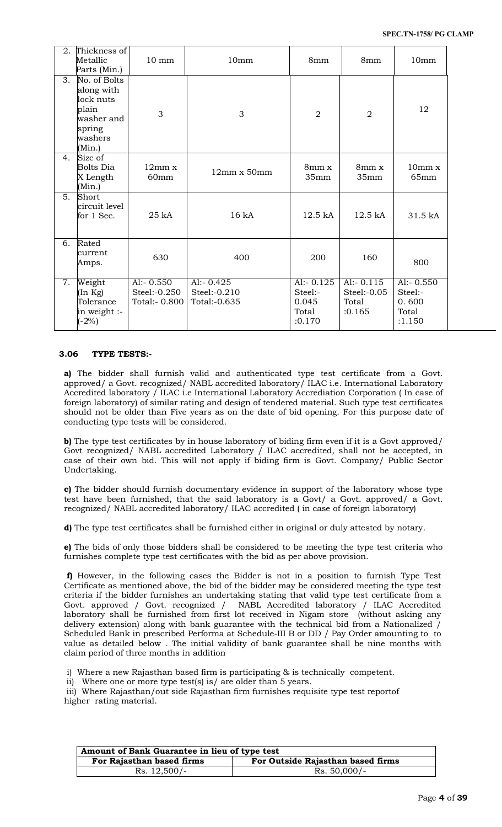| 2.               | Thickness of<br>Metallic<br>Parts (Min.)                                                      | $10 \text{ mm}$                               | 10mm                                         | 8mm                                                 | 8mm                                               | 10 <sub>mm</sub>                                    |
|------------------|-----------------------------------------------------------------------------------------------|-----------------------------------------------|----------------------------------------------|-----------------------------------------------------|---------------------------------------------------|-----------------------------------------------------|
| 3.               | No. of Bolts<br>along with<br>lock nuts<br>plain<br>washer and<br>spring<br>washers<br>(Min.) | 3                                             | 3                                            | $\overline{2}$                                      | $\overline{2}$                                    | 12                                                  |
| 4.               | Size of<br>Bolts Dia<br>X Length<br>(Min.)                                                    | 12mm x<br>60 <sub>mm</sub>                    | $12mm \times 50mm$                           | 8mm x<br>35mm                                       | $8mm \times$<br>35mm                              | 10mm x<br>65mm                                      |
| 5.               | Short<br>circuit level<br>for 1 Sec.                                                          | 25 kA                                         | 16 kA                                        | 12.5 kA                                             | 12.5 kA                                           | 31.5 kA                                             |
| 6.               | Rated<br>current<br>Amps.                                                                     | 630                                           | 400                                          | 200                                                 | 160                                               | 800                                                 |
| $\overline{7}$ . | Weight<br>(In Kg)<br>Tolerance<br>in weight :-<br>$(-2%)$                                     | Al:- $0.550$<br>Steel:-0.250<br>Total:- 0.800 | Al:- $0.425$<br>Steel:-0.210<br>Total:-0.635 | $Al:- 0.125$<br>Steel:-<br>0.045<br>Total<br>:0.170 | $Al:- 0.115$<br>$Steel: -0.05$<br>Total<br>:0.165 | Al:- $0.550$<br>Steel:-<br>0.600<br>Total<br>:1.150 |

# **3.06 TYPE TESTS:-**

**a)** The bidder shall furnish valid and authenticated type test certificate from a Govt. approved/ a Govt. recognized/ NABL accredited laboratory/ ILAC i.e. International Laboratory Accredited laboratory / ILAC i.e International Laboratory Accrediation Corporation ( In case of foreign laboratory) of similar rating and design of tendered material. Such type test certificates should not be older than Five years as on the date of bid opening. For this purpose date of conducting type tests will be considered.

**b**) The type test certificates by in house laboratory of biding firm even if it is a Govt approved/ Govt recognized/ NABL accredited Laboratory / ILAC accredited, shall not be accepted, in case of their own bid. This will not apply if biding firm is Govt. Company/ Public Sector Undertaking.

**c)** The bidder should furnish documentary evidence in support of the laboratory whose type test have been furnished, that the said laboratory is a Govt/ a Govt. approved/ a Govt. recognized/ NABL accredited laboratory/ ILAC accredited ( in case of foreign laboratory)

**d)** The type test certificates shall be furnished either in original or duly attested by notary.

**e)** The bids of only those bidders shall be considered to be meeting the type test criteria who furnishes complete type test certificates with the bid as per above provision.

**f)** However, in the following cases the Bidder is not in a position to furnish Type Test Certificate as mentioned above, the bid of the bidder may be considered meeting the type test criteria if the bidder furnishes an undertaking stating that valid type test certificate from a Govt. approved / Govt. recognized / NABL Accredited laboratory / ILAC Accredited laboratory shall be furnished from first lot received in Nigam store (without asking any delivery extension) along with bank guarantee with the technical bid from a Nationalized / Scheduled Bank in prescribed Performa at Schedule-III B or DD / Pay Order amounting to to value as detailed below . The initial validity of bank guarantee shall be nine months with claim period of three months in addition

i) Where a new Rajasthan based firm is participating & is technically competent.

ii) Where one or more type test(s) is/ are older than 5 years.

iii) Where Rajasthan/out side Rajasthan firm furnishes requisite type test reportof higher rating material.

| Amount of Bank Guarantee in lieu of type test |                                   |  |  |
|-----------------------------------------------|-----------------------------------|--|--|
| For Rajasthan based firms                     | For Outside Rajasthan based firms |  |  |
| $Rs. 12,500/-$                                | $Rs. 50,000/-$                    |  |  |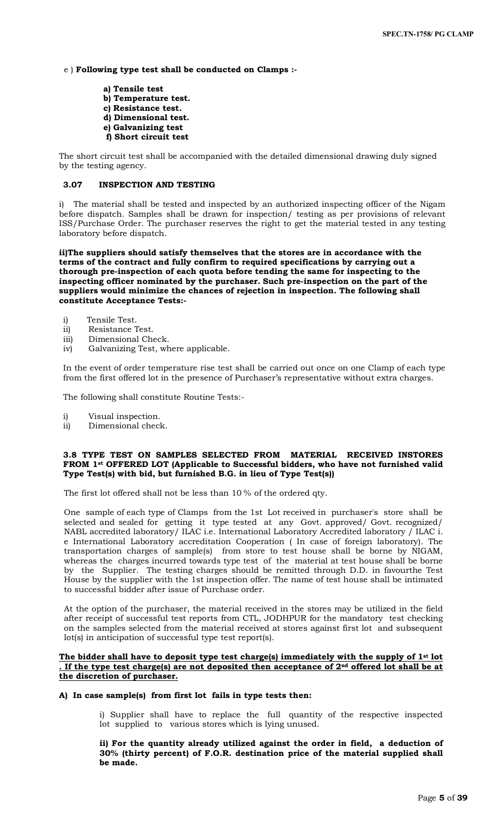e ) **Following type test shall be conducted on Clamps :-**

**a) Tensile test b) Temperature test. c) Resistance test. d) Dimensional test. e) Galvanizing test f) Short circuit test**

The short circuit test shall be accompanied with the detailed dimensional drawing duly signed by the testing agency.

# **3.07 INSPECTION AND TESTING**

i) The material shall be tested and inspected by an authorized inspecting officer of the Nigam before dispatch. Samples shall be drawn for inspection/ testing as per provisions of relevant ISS/Purchase Order. The purchaser reserves the right to get the material tested in any testing laboratory before dispatch.

**ii)The suppliers should satisfy themselves that the stores are in accordance with the terms of the contract and fully confirm to required specifications by carrying out a thorough pre-inspection of each quota before tending the same for inspecting to the inspecting officer nominated by the purchaser. Such pre-inspection on the part of the suppliers would minimize the chances of rejection in inspection. The following shall constitute Acceptance Tests:-**

- i) Tensile Test.
- ii) Resistance Test.
- iii) Dimensional Check.
- iv) Galvanizing Test, where applicable.

In the event of order temperature rise test shall be carried out once on one Clamp of each type from the first offered lot in the presence of Purchaser's representative without extra charges.

The following shall constitute Routine Tests:-

- i) Visual inspection.
- ii) Dimensional check.

# **3.8 TYPE TEST ON SAMPLES SELECTED FROM MATERIAL RECEIVED INSTORES FROM 1st OFFERED LOT (Applicable to Successful bidders, who have not furnished valid Type Test(s) with bid, but furnished B.G. in lieu of Type Test(s))**

The first lot offered shall not be less than 10 % of the ordered qty.

One sample of each type of Clamps from the 1st Lot received in purchaser's store shall be selected and sealed for getting it type tested at any Govt. approved/ Govt. recognized/ NABL accredited laboratory/ ILAC i.e. International Laboratory Accredited laboratory / ILAC i. e International Laboratory accreditation Cooperation ( In case of foreign laboratory). The transportation charges of sample(s) from store to test house shall be borne by NIGAM, whereas the charges incurred towards type test of the material at test house shall be borne by the Supplier. The testing charges should be remitted through D.D. in favourthe Test House by the supplier with the 1st inspection offer. The name of test house shall be intimated to successful bidder after issue of Purchase order.

At the option of the purchaser, the material received in the stores may be utilized in the field after receipt of successful test reports from CTL, JODHPUR for the mandatory test checking on the samples selected from the material received at stores against first lot and subsequent lot(s) in anticipation of successful type test report(s).

# **The bidder shall have to deposit type test charge(s) immediately with the supply of 1st lot . If the type test charge(s) are not deposited then acceptance of 2nd offered lot shall be at the discretion of purchaser.**

## **A) In case sample(s) from first lot fails in type tests then:**

i) Supplier shall have to replace the full quantity of the respective inspected lot supplied to various stores which is lying unused.

**ii) For the quantity already utilized against the order in field, a deduction of 30% (thirty percent) of F.O.R. destination price of the material supplied shall be made.**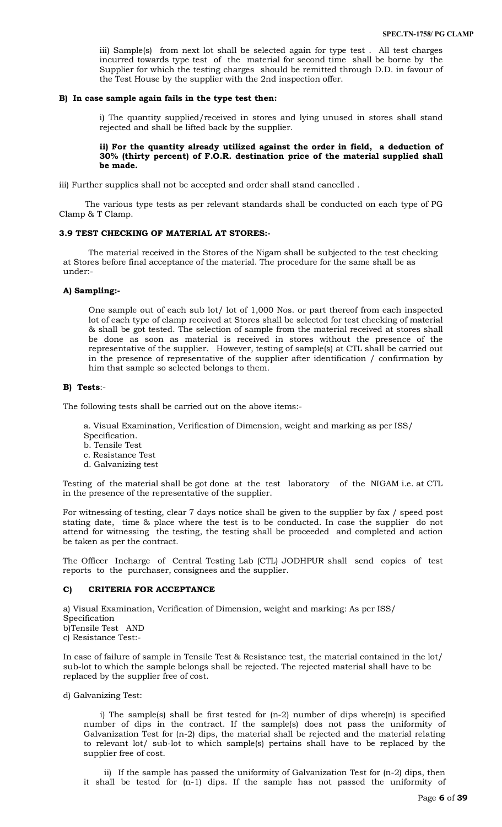iii) Sample(s) from next lot shall be selected again for type test . All test charges incurred towards type test of the material for second time shall be borne by the Supplier for which the testing charges should be remitted through D.D. in favour of the Test House by the supplier with the 2nd inspection offer.

#### **B) In case sample again fails in the type test then:**

i) The quantity supplied/received in stores and lying unused in stores shall stand rejected and shall be lifted back by the supplier.

# **ii) For the quantity already utilized against the order in field, a deduction of 30% (thirty percent) of F.O.R. destination price of the material supplied shall be made.**

iii) Further supplies shall not be accepted and order shall stand cancelled .

 The various type tests as per relevant standards shall be conducted on each type of PG Clamp & T Clamp.

### **3.9 TEST CHECKING OF MATERIAL AT STORES:-**

The material received in the Stores of the Nigam shall be subjected to the test checking at Stores before final acceptance of the material. The procedure for the same shall be as under:-

#### **A) Sampling:-**

One sample out of each sub lot/ lot of 1,000 Nos. or part thereof from each inspected lot of each type of clamp received at Stores shall be selected for test checking of material & shall be got tested. The selection of sample from the material received at stores shall be done as soon as material is received in stores without the presence of the representative of the supplier. However, testing of sample(s) at CTL shall be carried out in the presence of representative of the supplier after identification / confirmation by him that sample so selected belongs to them.

#### **B) Tests**:-

The following tests shall be carried out on the above items:-

a. Visual Examination, Verification of Dimension, weight and marking as per ISS/ Specification.

- b. Tensile Test
- c. Resistance Test
- d. Galvanizing test

Testing of the material shall be got done at the test laboratory of the NIGAM i.e. at CTL in the presence of the representative of the supplier.

For witnessing of testing, clear 7 days notice shall be given to the supplier by fax / speed post stating date, time & place where the test is to be conducted. In case the supplier do not attend for witnessing the testing, the testing shall be proceeded and completed and action be taken as per the contract.

The Officer Incharge of Central Testing Lab (CTL) JODHPUR shall send copies of test reports to the purchaser, consignees and the supplier.

#### **C) CRITERIA FOR ACCEPTANCE**

a) Visual Examination, Verification of Dimension, weight and marking: As per ISS/ Specification b)Tensile Test AND c) Resistance Test:-

In case of failure of sample in Tensile Test & Resistance test, the material contained in the lot/ sub-lot to which the sample belongs shall be rejected. The rejected material shall have to be replaced by the supplier free of cost.

d) Galvanizing Test:

i) The sample(s) shall be first tested for (n-2) number of dips where(n) is specified number of dips in the contract. If the sample(s) does not pass the uniformity of Galvanization Test for (n-2) dips, the material shall be rejected and the material relating to relevant lot/ sub-lot to which sample(s) pertains shall have to be replaced by the supplier free of cost.

ii) If the sample has passed the uniformity of Galvanization Test for (n-2) dips, then it shall be tested for (n-1) dips. If the sample has not passed the uniformity of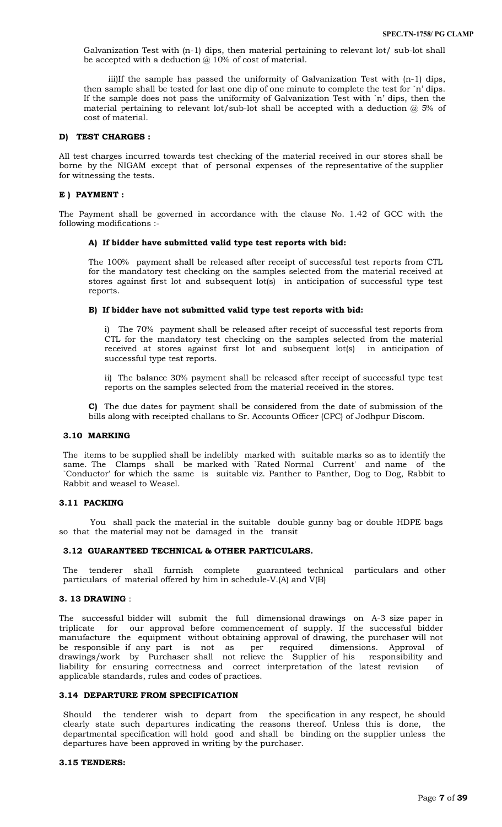Galvanization Test with (n-1) dips, then material pertaining to relevant lot/ sub-lot shall be accepted with a deduction  $\omega$  10% of cost of material.

iii)If the sample has passed the uniformity of Galvanization Test with (n-1) dips, then sample shall be tested for last one dip of one minute to complete the test for `n' dips. If the sample does not pass the uniformity of Galvanization Test with `n' dips, then the material pertaining to relevant lot/sub-lot shall be accepted with a deduction  $@$  5% of cost of material.

#### **D) TEST CHARGES :**

All test charges incurred towards test checking of the material received in our stores shall be borne by the NIGAM except that of personal expenses of the representative of the supplier for witnessing the tests.

#### **E ) PAYMENT :**

The Payment shall be governed in accordance with the clause No. 1.42 of GCC with the following modifications :-

# **A) If bidder have submitted valid type test reports with bid:**

The 100% payment shall be released after receipt of successful test reports from CTL for the mandatory test checking on the samples selected from the material received at stores against first lot and subsequent lot(s) in anticipation of successful type test reports.

#### **B) If bidder have not submitted valid type test reports with bid:**

i) The 70% payment shall be released after receipt of successful test reports from CTL for the mandatory test checking on the samples selected from the material received at stores against first lot and subsequent lot(s) in anticipation of successful type test reports.

ii) The balance 30% payment shall be released after receipt of successful type test reports on the samples selected from the material received in the stores.

**C)** The due dates for payment shall be considered from the date of submission of the bills along with receipted challans to Sr. Accounts Officer (CPC) of Jodhpur Discom.

#### **3.10 MARKING**

The items to be supplied shall be indelibly marked with suitable marks so as to identify the same. The Clamps shall be marked with `Rated Normal Current' and name of the `Conductor' for which the same is suitable viz. Panther to Panther, Dog to Dog, Rabbit to Rabbit and weasel to Weasel.

# **3.11 PACKING**

 You shall pack the material in the suitable double gunny bag or double HDPE bags so that the material may not be damaged in the transit

# **3.12 GUARANTEED TECHNICAL & OTHER PARTICULARS.**

The tenderer shall furnish complete guaranteed technical particulars and other particulars of material offered by him in schedule-V.(A) and V(B)

# **3. 13 DRAWING** :

The successful bidder will submit the full dimensional drawings on A-3 size paper in triplicate for our approval before commencement of supply. If the successful bidder manufacture the equipment without obtaining approval of drawing, the purchaser will not be responsible if any part is not as per required dimensions. Approval of drawings/work by Purchaser shall not relieve the Supplier of his responsibility and liability for ensuring correctness and correct interpretation of the latest revision of applicable standards, rules and codes of practices.

#### **3.14 DEPARTURE FROM SPECIFICATION**

Should the tenderer wish to depart from the specification in any respect, he should clearly state such departures indicating the reasons thereof. Unless this is done, the departmental specification will hold good and shall be binding on the supplier unless the departures have been approved in writing by the purchaser.

#### **3.15 TENDERS:**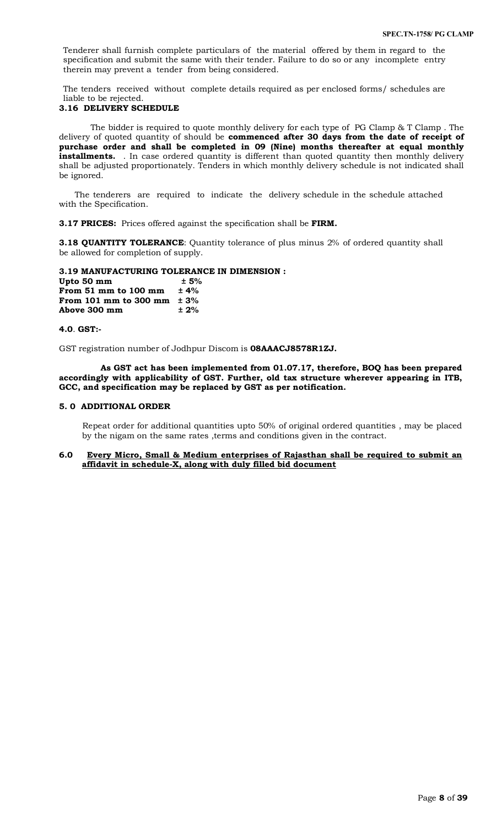Tenderer shall furnish complete particulars of the material offered by them in regard to the specification and submit the same with their tender. Failure to do so or any incomplete entry therein may prevent a tender from being considered.

The tenders received without complete details required as per enclosed forms/ schedules are liable to be rejected.

# **3.16 DELIVERY SCHEDULE**

 The bidder is required to quote monthly delivery for each type of PG Clamp & T Clamp . The delivery of quoted quantity of should be **commenced after 30 days from the date of receipt of purchase order and shall be completed in 09 (Nine) months thereafter at equal monthly**  installments. . In case ordered quantity is different than quoted quantity then monthly delivery shall be adjusted proportionately. Tenders in which monthly delivery schedule is not indicated shall be ignored.

 The tenderers are required to indicate the delivery schedule in the schedule attached with the Specification.

**3.17 PRICES:** Prices offered against the specification shall be **FIRM.**

**3.18 OUANTITY TOLERANCE:** Quantity tolerance of plus minus 2% of ordered quantity shall be allowed for completion of supply.

#### **3.19 MANUFACTURING TOLERANCE IN DIMENSION :**

**Upto 50 mm**  $+ 5\%$ **<br>From 51 mm to 100 mm**  $+ 4\%$ **From 51 mm to 100 mm From 101 mm to 300 mm ± 3% Above 300 mm ± 2%**

#### **4.0**. **GST:-**

GST registration number of Jodhpur Discom is **08AAACJ8578R1ZJ.**

 **As GST act has been implemented from 01.07.17, therefore, BOQ has been prepared accordingly with applicability of GST. Further, old tax structure wherever appearing in ITB, GCC, and specification may be replaced by GST as per notification.**

#### **5. 0 ADDITIONAL ORDER**

 Repeat order for additional quantities upto 50% of original ordered quantities , may be placed by the nigam on the same rates ,terms and conditions given in the contract.

# **6.0 Every Micro, Small & Medium enterprises of Rajasthan shall be required to submit an affidavit in schedule-X, along with duly filled bid document**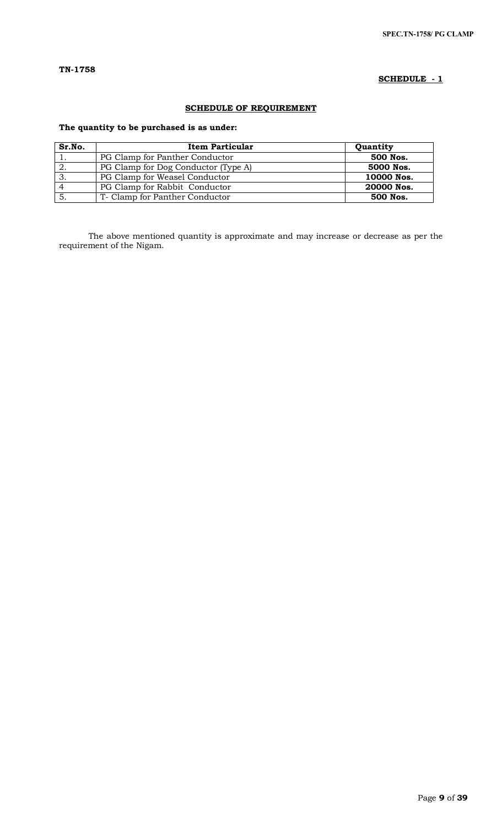# **SCHEDULE - 1**

# **SCHEDULE OF REQUIREMENT**

# **The quantity to be purchased is as under:**

| Sr.No. | Item Particular                     | Quantity   |
|--------|-------------------------------------|------------|
|        | PG Clamp for Panther Conductor      | 500 Nos.   |
| -2.    | PG Clamp for Dog Conductor (Type A) | 5000 Nos.  |
| -3.    | PG Clamp for Weasel Conductor       | 10000 Nos. |
|        | PG Clamp for Rabbit Conductor       | 20000 Nos. |
|        | T- Clamp for Panther Conductor      | 500 Nos.   |

The above mentioned quantity is approximate and may increase or decrease as per the requirement of the Nigam.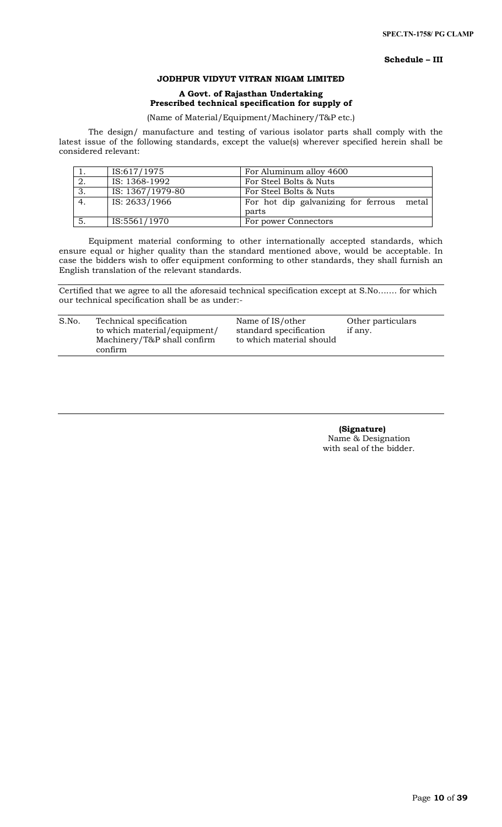### **Schedule – III**

# **JODHPUR VIDYUT VITRAN NIGAM LIMITED**

# **A Govt. of Rajasthan Undertaking Prescribed technical specification for supply of**

# (Name of Material/Equipment/Machinery/T&P etc.)

The design/ manufacture and testing of various isolator parts shall comply with the latest issue of the following standards, except the value(s) wherever specified herein shall be considered relevant:

|    | IS:617/1975      | For Aluminum alloy 4600                      |
|----|------------------|----------------------------------------------|
| 2. | IS: 1368-1992    | For Steel Bolts & Nuts                       |
| 3. | IS: 1367/1979-80 | For Steel Bolts & Nuts                       |
| 4. | IS: 2633/1966    | For hot dip galvanizing for ferrous<br>metal |
|    |                  | parts                                        |
|    | IS:5561/1970     | For power Connectors                         |

Equipment material conforming to other internationally accepted standards, which ensure equal or higher quality than the standard mentioned above, would be acceptable. In case the bidders wish to offer equipment conforming to other standards, they shall furnish an English translation of the relevant standards.

Certified that we agree to all the aforesaid technical specification except at S.No……. for which our technical specification shall be as under:-

| S.No. | Technical specification      | Name of IS/other         | Other particulars |
|-------|------------------------------|--------------------------|-------------------|
|       | to which material/equipment/ | standard specification   | if any.           |
|       | Machinery/T&P shall confirm  | to which material should |                   |
|       | confirm                      |                          |                   |

 **(Signature)** Name & Designation with seal of the bidder.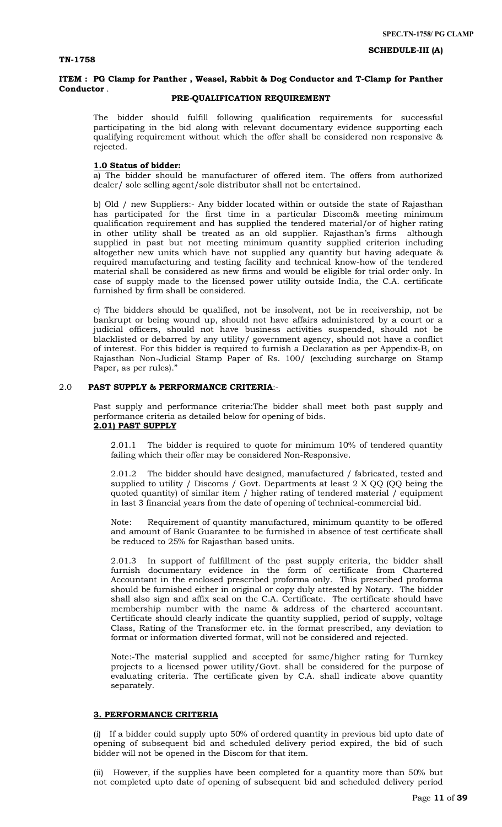**SCHEDULE-III (A)**

# **ITEM : PG Clamp for Panther , Weasel, Rabbit & Dog Conductor and T-Clamp for Panther Conductor** .

# **PRE-QUALIFICATION REQUIREMENT**

The bidder should fulfill following qualification requirements for successful participating in the bid along with relevant documentary evidence supporting each qualifying requirement without which the offer shall be considered non responsive & rejected.

# **1.0 Status of bidder:**

a) The bidder should be manufacturer of offered item. The offers from authorized dealer/ sole selling agent/sole distributor shall not be entertained.

b) Old / new Suppliers:- Any bidder located within or outside the state of Rajasthan has participated for the first time in a particular Discom& meeting minimum qualification requirement and has supplied the tendered material/or of higher rating in other utility shall be treated as an old supplier. Rajasthan's firms although supplied in past but not meeting minimum quantity supplied criterion including altogether new units which have not supplied any quantity but having adequate & required manufacturing and testing facility and technical know-how of the tendered material shall be considered as new firms and would be eligible for trial order only. In case of supply made to the licensed power utility outside India, the C.A. certificate furnished by firm shall be considered.

c) The bidders should be qualified, not be insolvent, not be in receivership, not be bankrupt or being wound up, should not have affairs administered by a court or a judicial officers, should not have business activities suspended, should not be blacklisted or debarred by any utility/ government agency, should not have a conflict of interest. For this bidder is required to furnish a Declaration as per Appendix-B, on Rajasthan Non-Judicial Stamp Paper of Rs. 100/ (excluding surcharge on Stamp Paper, as per rules)."

### 2.0 **PAST SUPPLY & PERFORMANCE CRITERIA**:-

Past supply and performance criteria:The bidder shall meet both past supply and performance criteria as detailed below for opening of bids. **2.01) PAST SUPPLY**

2.01.1 The bidder is required to quote for minimum 10% of tendered quantity failing which their offer may be considered Non-Responsive.

The bidder should have designed, manufactured / fabricated, tested and supplied to utility / Discoms / Govt. Departments at least 2 X QQ (QQ being the quoted quantity) of similar item / higher rating of tendered material / equipment in last 3 financial years from the date of opening of technical-commercial bid.

Note: Requirement of quantity manufactured, minimum quantity to be offered and amount of Bank Guarantee to be furnished in absence of test certificate shall be reduced to 25% for Rajasthan based units.

2.01.3 In support of fulfillment of the past supply criteria, the bidder shall furnish documentary evidence in the form of certificate from Chartered Accountant in the enclosed prescribed proforma only. This prescribed proforma should be furnished either in original or copy duly attested by Notary. The bidder shall also sign and affix seal on the C.A. Certificate. The certificate should have membership number with the name & address of the chartered accountant. Certificate should clearly indicate the quantity supplied, period of supply, voltage Class, Rating of the Transformer etc. in the format prescribed, any deviation to format or information diverted format, will not be considered and rejected.

Note:-The material supplied and accepted for same/higher rating for Turnkey projects to a licensed power utility/Govt. shall be considered for the purpose of evaluating criteria. The certificate given by C.A. shall indicate above quantity separately.

# **3. PERFORMANCE CRITERIA**

(i) If a bidder could supply upto 50% of ordered quantity in previous bid upto date of opening of subsequent bid and scheduled delivery period expired, the bid of such bidder will not be opened in the Discom for that item.

(ii) However, if the supplies have been completed for a quantity more than 50% but not completed upto date of opening of subsequent bid and scheduled delivery period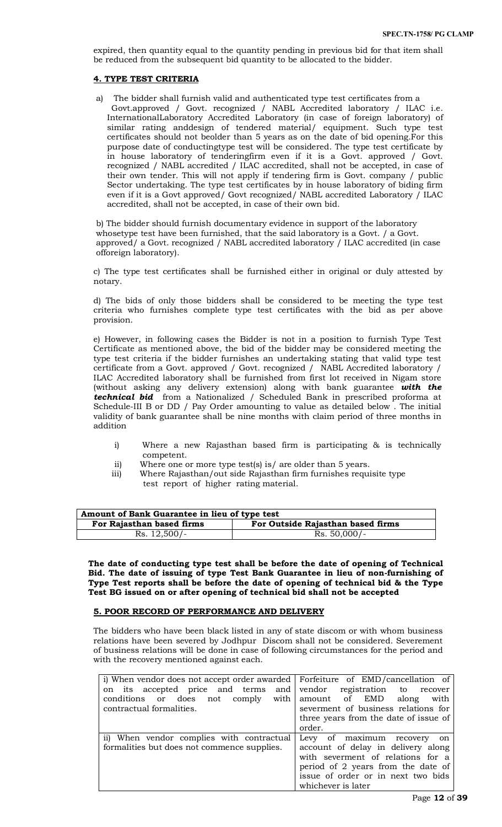expired, then quantity equal to the quantity pending in previous bid for that item shall be reduced from the subsequent bid quantity to be allocated to the bidder.

# **4. TYPE TEST CRITERIA**

a) The bidder shall furnish valid and authenticated type test certificates from a Govt.approved / Govt. recognized / NABL Accredited laboratory / ILAC i.e. InternationalLaboratory Accredited Laboratory (in case of foreign laboratory) of similar rating anddesign of tendered material/ equipment. Such type test certificates should not beolder than 5 years as on the date of bid opening.For this purpose date of conductingtype test will be considered. The type test certificate by in house laboratory of tenderingfirm even if it is a Govt. approved / Govt. recognized / NABL accredited / ILAC accredited, shall not be accepted, in case of their own tender. This will not apply if tendering firm is Govt. company / public Sector undertaking. The type test certificates by in house laboratory of biding firm even if it is a Govt approved/ Govt recognized/ NABL accredited Laboratory / ILAC accredited, shall not be accepted, in case of their own bid.

b) The bidder should furnish documentary evidence in support of the laboratory whosetype test have been furnished, that the said laboratory is a Govt. / a Govt. approved/ a Govt. recognized / NABL accredited laboratory / ILAC accredited (in case offoreign laboratory).

c) The type test certificates shall be furnished either in original or duly attested by notary.

d) The bids of only those bidders shall be considered to be meeting the type test criteria who furnishes complete type test certificates with the bid as per above provision.

e) However, in following cases the Bidder is not in a position to furnish Type Test Certificate as mentioned above, the bid of the bidder may be considered meeting the type test criteria if the bidder furnishes an undertaking stating that valid type test certificate from a Govt. approved / Govt. recognized / NABL Accredited laboratory / ILAC Accredited laboratory shall be furnished from first lot received in Nigam store (without asking any delivery extension) along with bank guarantee *with the technical bid* from a Nationalized / Scheduled Bank in prescribed proforma at Schedule-III B or DD / Pay Order amounting to value as detailed below . The initial validity of bank guarantee shall be nine months with claim period of three months in addition

- i) Where a new Rajasthan based firm is participating & is technically competent.
- ii) Where one or more type test(s) is/ are older than 5 years.
- iii) Where Rajasthan/out side Rajasthan firm furnishes requisite type test report of higher rating material.

| Amount of Bank Guarantee in lieu of type test |                                   |  |  |
|-----------------------------------------------|-----------------------------------|--|--|
| For Rajasthan based firms                     | For Outside Rajasthan based firms |  |  |
| $Rs. 12,500/-$                                | $Rs. 50,000/-$                    |  |  |

**The date of conducting type test shall be before the date of opening of Technical Bid. The date of issuing of type Test Bank Guarantee in lieu of non-furnishing of Type Test reports shall be before the date of opening of technical bid & the Type Test BG issued on or after opening of technical bid shall not be accepted**

# **5. POOR RECORD OF PERFORMANCE AND DELIVERY**

The bidders who have been black listed in any of state discom or with whom business relations have been severed by Jodhpur Discom shall not be considered. Severement of business relations will be done in case of following circumstances for the period and with the recovery mentioned against each.

| i) When vendor does not accept order awarded Forfeiture of EMD/cancellation of |                                       |
|--------------------------------------------------------------------------------|---------------------------------------|
| on its accepted price and terms and vendor registration to recover             |                                       |
| conditions or does not comply with                                             | amount of EMD along<br>with           |
| contractual formalities.                                                       | severment of business relations for   |
|                                                                                | three years from the date of issue of |
|                                                                                | order.                                |
| ii) When vendor complies with contractual                                      | Levy of maximum recovery on           |
| formalities but does not commence supplies.                                    | account of delay in delivery along    |
|                                                                                | with severment of relations for a     |
|                                                                                | period of 2 years from the date of    |
|                                                                                | issue of order or in next two bids    |
|                                                                                | whichever is later                    |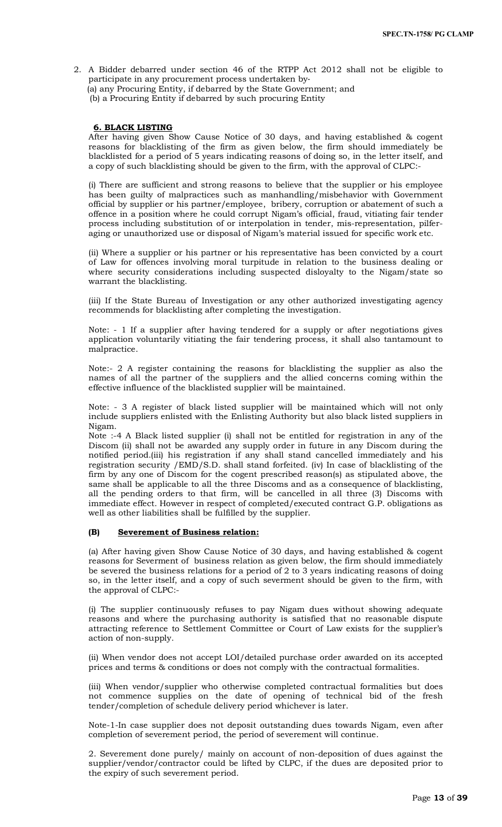2. A Bidder debarred under section 46 of the RTPP Act 2012 shall not be eligible to participate in any procurement process undertaken by‐ (a) any Procuring Entity, if debarred by the State Government; and (b) a Procuring Entity if debarred by such procuring Entity

#### **6. BLACK LISTING**

After having given Show Cause Notice of 30 days, and having established & cogent reasons for blacklisting of the firm as given below, the firm should immediately be blacklisted for a period of 5 years indicating reasons of doing so, in the letter itself, and a copy of such blacklisting should be given to the firm, with the approval of CLPC:-

(i) There are sufficient and strong reasons to believe that the supplier or his employee has been guilty of malpractices such as manhandling/misbehavior with Government official by supplier or his partner/employee, bribery, corruption or abatement of such a offence in a position where he could corrupt Nigam's official, fraud, vitiating fair tender process including substitution of or interpolation in tender, mis-representation, pilferaging or unauthorized use or disposal of Nigam's material issued for specific work etc.

(ii) Where a supplier or his partner or his representative has been convicted by a court of Law for offences involving moral turpitude in relation to the business dealing or where security considerations including suspected disloyalty to the Nigam/state so warrant the blacklisting.

(iii) If the State Bureau of Investigation or any other authorized investigating agency recommends for blacklisting after completing the investigation.

Note: - 1 If a supplier after having tendered for a supply or after negotiations gives application voluntarily vitiating the fair tendering process, it shall also tantamount to malpractice.

Note:- 2 A register containing the reasons for blacklisting the supplier as also the names of all the partner of the suppliers and the allied concerns coming within the effective influence of the blacklisted supplier will be maintained.

Note: - 3 A register of black listed supplier will be maintained which will not only include suppliers enlisted with the Enlisting Authority but also black listed suppliers in Nigam.

Note :-4 A Black listed supplier (i) shall not be entitled for registration in any of the Discom (ii) shall not be awarded any supply order in future in any Discom during the notified period.(iii) his registration if any shall stand cancelled immediately and his registration security /EMD/S.D. shall stand forfeited. (iv) In case of blacklisting of the firm by any one of Discom for the cogent prescribed reason(s) as stipulated above, the same shall be applicable to all the three Discoms and as a consequence of blacklisting, all the pending orders to that firm, will be cancelled in all three (3) Discoms with immediate effect. However in respect of completed/executed contract G.P. obligations as well as other liabilities shall be fulfilled by the supplier.

# **(B) Severement of Business relation:**

(a) After having given Show Cause Notice of 30 days, and having established & cogent reasons for Severment of business relation as given below, the firm should immediately be severed the business relations for a period of 2 to 3 years indicating reasons of doing so, in the letter itself, and a copy of such severment should be given to the firm, with the approval of CLPC:-

(i) The supplier continuously refuses to pay Nigam dues without showing adequate reasons and where the purchasing authority is satisfied that no reasonable dispute attracting reference to Settlement Committee or Court of Law exists for the supplier's action of non-supply.

(ii) When vendor does not accept LOI/detailed purchase order awarded on its accepted prices and terms & conditions or does not comply with the contractual formalities.

(iii) When vendor/supplier who otherwise completed contractual formalities but does not commence supplies on the date of opening of technical bid of the fresh tender/completion of schedule delivery period whichever is later.

Note-1-In case supplier does not deposit outstanding dues towards Nigam, even after completion of severement period, the period of severement will continue.

2. Severement done purely/ mainly on account of non-deposition of dues against the supplier/vendor/contractor could be lifted by CLPC, if the dues are deposited prior to the expiry of such severement period.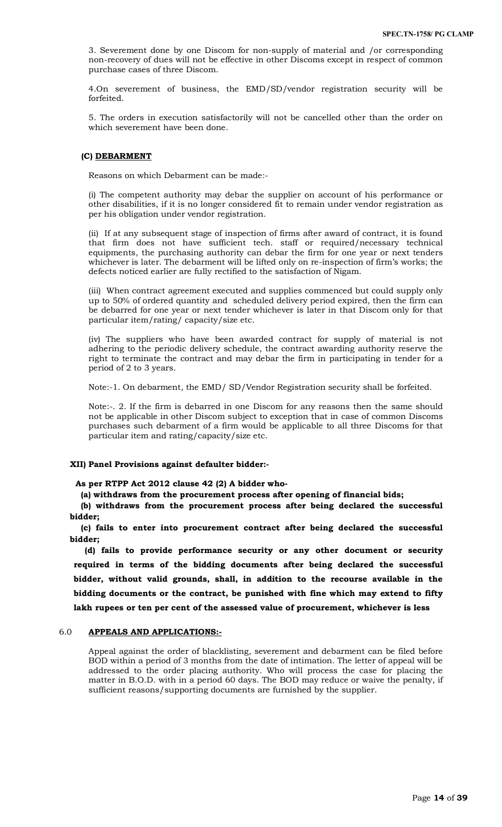3. Severement done by one Discom for non-supply of material and /or corresponding non-recovery of dues will not be effective in other Discoms except in respect of common purchase cases of three Discom.

4.On severement of business, the EMD/SD/vendor registration security will be forfeited.

5. The orders in execution satisfactorily will not be cancelled other than the order on which severement have been done.

#### **(C) DEBARMENT**

Reasons on which Debarment can be made:-

(i) The competent authority may debar the supplier on account of his performance or other disabilities, if it is no longer considered fit to remain under vendor registration as per his obligation under vendor registration.

(ii) If at any subsequent stage of inspection of firms after award of contract, it is found that firm does not have sufficient tech. staff or required/necessary technical equipments, the purchasing authority can debar the firm for one year or next tenders whichever is later. The debarment will be lifted only on re-inspection of firm's works; the defects noticed earlier are fully rectified to the satisfaction of Nigam.

(iii) When contract agreement executed and supplies commenced but could supply only up to 50% of ordered quantity and scheduled delivery period expired, then the firm can be debarred for one year or next tender whichever is later in that Discom only for that particular item/rating/ capacity/size etc.

(iv) The suppliers who have been awarded contract for supply of material is not adhering to the periodic delivery schedule, the contract awarding authority reserve the right to terminate the contract and may debar the firm in participating in tender for a period of 2 to 3 years.

Note:-1. On debarment, the EMD/ SD/Vendor Registration security shall be forfeited.

Note:-. 2. If the firm is debarred in one Discom for any reasons then the same should not be applicable in other Discom subject to exception that in case of common Discoms purchases such debarment of a firm would be applicable to all three Discoms for that particular item and rating/capacity/size etc.

#### **XII) Panel Provisions against defaulter bidder:-**

 **As per RTPP Act 2012 clause 42 (2) A bidder who-**

**(a) withdraws from the procurement process after opening of financial bids;** 

**(b) withdraws from the procurement process after being declared the successful bidder;**

**(c) fails to enter into procurement contract after being declared the successful bidder;** 

**(d) fails to provide performance security or any other document or security required in terms of the bidding documents after being declared the successful bidder, without valid grounds, shall, in addition to the recourse available in the bidding documents or the contract, be punished with fine which may extend to fifty lakh rupees or ten per cent of the assessed value of procurement, whichever is less**

#### 6.0 **APPEALS AND APPLICATIONS:-**

Appeal against the order of blacklisting, severement and debarment can be filed before BOD within a period of 3 months from the date of intimation. The letter of appeal will be addressed to the order placing authority. Who will process the case for placing the matter in B.O.D. with in a period 60 days. The BOD may reduce or waive the penalty, if sufficient reasons/supporting documents are furnished by the supplier.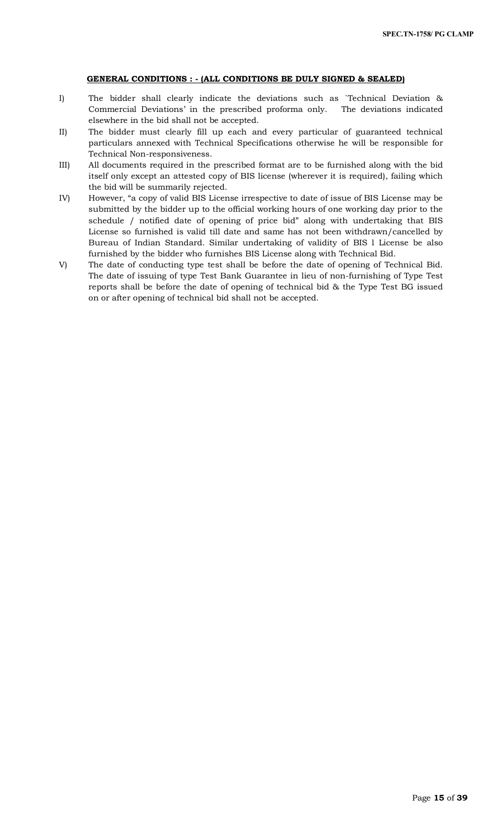# **GENERAL CONDITIONS : - (ALL CONDITIONS BE DULY SIGNED & SEALED)**

- I) The bidder shall clearly indicate the deviations such as `Technical Deviation & Commercial Deviations' in the prescribed proforma only. The deviations indicated elsewhere in the bid shall not be accepted.
- II) The bidder must clearly fill up each and every particular of guaranteed technical particulars annexed with Technical Specifications otherwise he will be responsible for Technical Non-responsiveness.
- III) All documents required in the prescribed format are to be furnished along with the bid itself only except an attested copy of BIS license (wherever it is required), failing which the bid will be summarily rejected.
- IV) However, "a copy of valid BIS License irrespective to date of issue of BIS License may be submitted by the bidder up to the official working hours of one working day prior to the schedule / notified date of opening of price bid" along with undertaking that BIS License so furnished is valid till date and same has not been withdrawn/cancelled by Bureau of Indian Standard. Similar undertaking of validity of BIS l License be also furnished by the bidder who furnishes BIS License along with Technical Bid.
- V) The date of conducting type test shall be before the date of opening of Technical Bid. The date of issuing of type Test Bank Guarantee in lieu of non-furnishing of Type Test reports shall be before the date of opening of technical bid & the Type Test BG issued on or after opening of technical bid shall not be accepted.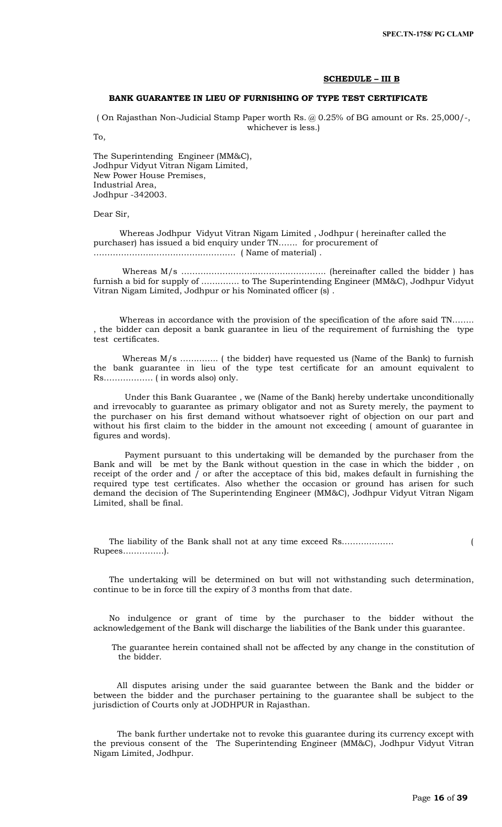#### **SCHEDULE – III B**

# **BANK GUARANTEE IN LIEU OF FURNISHING OF TYPE TEST CERTIFICATE**

( On Rajasthan Non-Judicial Stamp Paper worth Rs. @ 0.25% of BG amount or Rs. 25,000/-, whichever is less.)

To,

The Superintending Engineer (MM&C), Jodhpur Vidyut Vitran Nigam Limited, New Power House Premises, Industrial Area, Jodhpur -342003.

Dear Sir,

 Whereas Jodhpur Vidyut Vitran Nigam Limited , Jodhpur ( hereinafter called the purchaser) has issued a bid enquiry under TN……. for procurement of ……………………………………………. ( Name of material) .

 Whereas M/s …………………………………………….. (hereinafter called the bidder ) has furnish a bid for supply of ………….. to The Superintending Engineer (MM&C), Jodhpur Vidyut Vitran Nigam Limited, Jodhpur or his Nominated officer (s) .

 Whereas in accordance with the provision of the specification of the afore said TN…….. , the bidder can deposit a bank guarantee in lieu of the requirement of furnishing the type test certificates.

Whereas M/s .............. (the bidder) have requested us (Name of the Bank) to furnish the bank guarantee in lieu of the type test certificate for an amount equivalent to Rs……………… ( in words also) only.

 Under this Bank Guarantee , we (Name of the Bank) hereby undertake unconditionally and irrevocably to guarantee as primary obligator and not as Surety merely, the payment to the purchaser on his first demand without whatsoever right of objection on our part and without his first claim to the bidder in the amount not exceeding ( amount of guarantee in figures and words).

 Payment pursuant to this undertaking will be demanded by the purchaser from the Bank and will be met by the Bank without question in the case in which the bidder , on receipt of the order and  $\overline{I}$  or after the acceptace of this bid, makes default in furnishing the required type test certificates. Also whether the occasion or ground has arisen for such demand the decision of The Superintending Engineer (MM&C), Jodhpur Vidyut Vitran Nigam Limited, shall be final.

 The liability of the Bank shall not at any time exceed Rs………………. ( Rupees……………).

 The undertaking will be determined on but will not withstanding such determination, continue to be in force till the expiry of 3 months from that date.

 No indulgence or grant of time by the purchaser to the bidder without the acknowledgement of the Bank will discharge the liabilities of the Bank under this guarantee.

 The guarantee herein contained shall not be affected by any change in the constitution of the bidder.

 All disputes arising under the said guarantee between the Bank and the bidder or between the bidder and the purchaser pertaining to the guarantee shall be subject to the jurisdiction of Courts only at JODHPUR in Rajasthan.

 The bank further undertake not to revoke this guarantee during its currency except with the previous consent of the The Superintending Engineer (MM&C), Jodhpur Vidyut Vitran Nigam Limited, Jodhpur.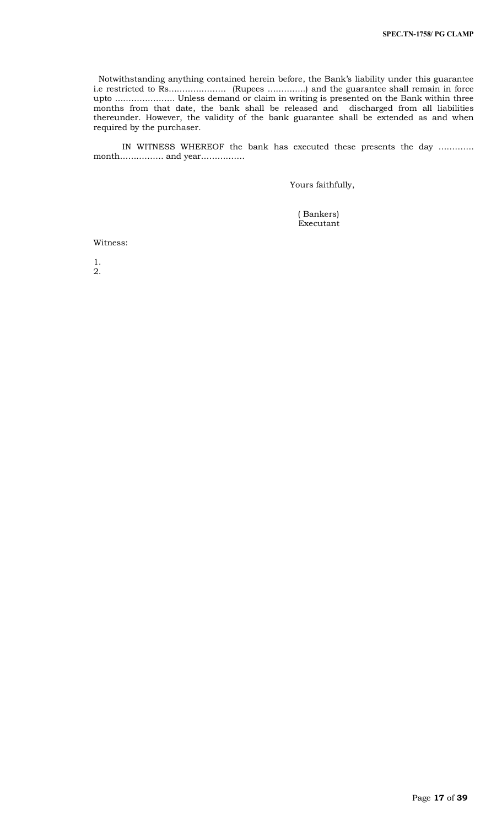Notwithstanding anything contained herein before, the Bank's liability under this guarantee i.e restricted to Rs………………… (Rupees …………..) and the guarantee shall remain in force upto …………………. Unless demand or claim in writing is presented on the Bank within three months from that date, the bank shall be released and discharged from all liabilities thereunder. However, the validity of the bank guarantee shall be extended as and when required by the purchaser.

 IN WITNESS WHEREOF the bank has executed these presents the day …………. month……………. and year…………….

Yours faithfully,

 ( Bankers) Executant

Witness:

1. 2.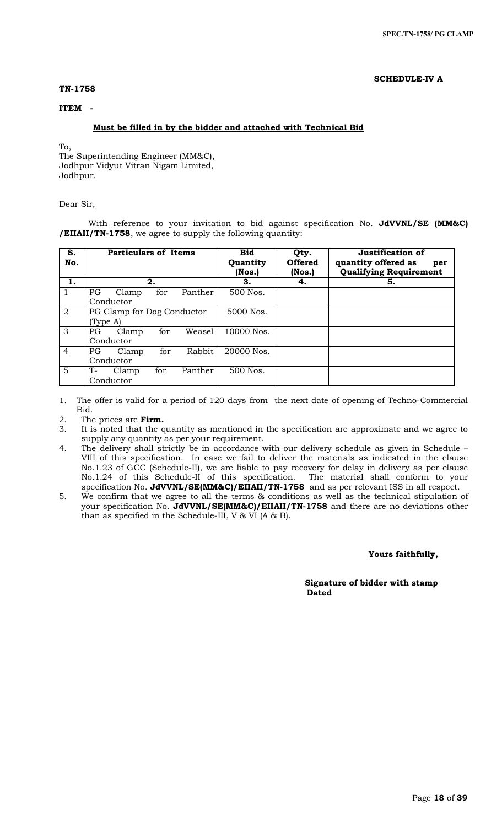# **SCHEDULE-IV A**

# **TN-1758**

# **ITEM -**

# **Must be filled in by the bidder and attached with Technical Bid**

To,

The Superintending Engineer (MM&C), Jodhpur Vidyut Vitran Nigam Limited, Jodhpur.

# Dear Sir,

With reference to your invitation to bid against specification No. **JdVVNL/SE (MM&C) /EIIAII/TN-1758**, we agree to supply the following quantity:

| S.<br>No.      |                            | <b>Particulars of Items</b> |     |         | <b>Bid</b><br>Quantity<br>(Nos.) | Qty.<br><b>Offered</b><br>$($ Nos. $)$ | Justification of<br>quantity offered as<br>per<br><b>Qualifying Requirement</b> |
|----------------|----------------------------|-----------------------------|-----|---------|----------------------------------|----------------------------------------|---------------------------------------------------------------------------------|
| 1.             |                            | 2.                          |     |         | З.                               | 4.                                     | 5.                                                                              |
|                | <b>PG</b>                  | Clamp                       | for | Panther | 500 Nos.                         |                                        |                                                                                 |
|                |                            | Conductor                   |     |         |                                  |                                        |                                                                                 |
| $\overline{2}$ | PG Clamp for Dog Conductor |                             |     |         | 5000 Nos.                        |                                        |                                                                                 |
|                | (Type A)                   |                             |     |         |                                  |                                        |                                                                                 |
| 3              | PG.                        | Clamp                       | for | Weasel  | 10000 Nos.                       |                                        |                                                                                 |
|                |                            | Conductor                   |     |         |                                  |                                        |                                                                                 |
| $\overline{4}$ | PG.                        | Clamp                       | for | Rabbit  | 20000 Nos.                       |                                        |                                                                                 |
|                | Conductor                  |                             |     |         |                                  |                                        |                                                                                 |
| 5              | $T-$                       | Clamp                       | for | Panther | 500 Nos.                         |                                        |                                                                                 |
|                |                            | Conductor                   |     |         |                                  |                                        |                                                                                 |

1. The offer is valid for a period of 120 days from the next date of opening of Techno-Commercial Bid.

2. The prices are **Firm.**

- 3. It is noted that the quantity as mentioned in the specification are approximate and we agree to supply any quantity as per your requirement.
- 4. The delivery shall strictly be in accordance with our delivery schedule as given in Schedule VIII of this specification. In case we fail to deliver the materials as indicated in the clause No.1.23 of GCC (Schedule-II), we are liable to pay recovery for delay in delivery as per clause No.1.24 of this Schedule-II of this specification. The material shall conform to your specification No. **JdVVNL/SE(MM&C)/EIIAII/TN-1758** and as per relevant ISS in all respect.
- 5. We confirm that we agree to all the terms & conditions as well as the technical stipulation of your specification No. **JdVVNL/SE(MM&C)/EIIAII/TN-1758** and there are no deviations other than as specified in the Schedule-III, V & VI (A & B).

 **Yours faithfully,** 

 **Signature of bidder with stamp**  *Dated* **Dated**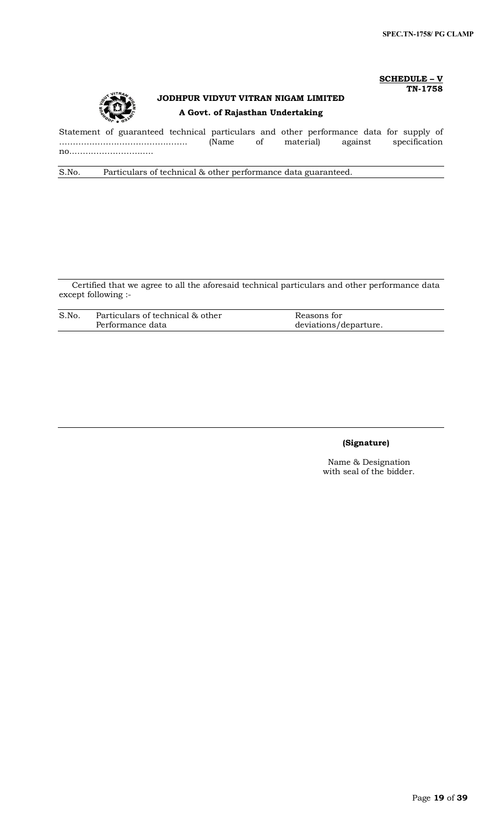# **SCHEDULE – V TN-1758**



# **JODHPUR VIDYUT VITRAN NIGAM LIMITED A Govt. of Rajasthan Undertaking**

Statement of guaranteed technical particulars and other performance data for supply of ……………………………………….. (Name of material) against specification no..………………………..

S.No. Particulars of technical & other performance data guaranteed.

Certified that we agree to all the aforesaid technical particulars and other performance data except following :-

| S.No | Particulars of technical & other | Reasons for           |
|------|----------------------------------|-----------------------|
|      | Performance data                 | deviations/departure. |

# **(Signature)**

Name & Designation with seal of the bidder.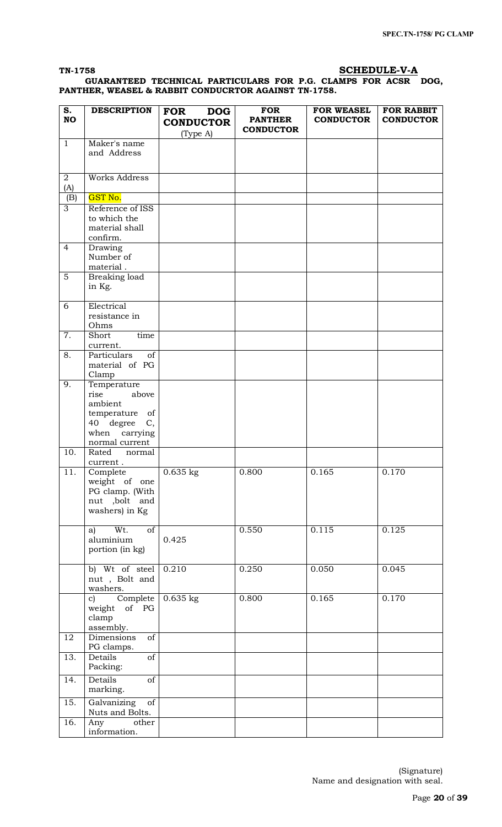# **TN-1758 SCHEDULE-V-A**

 **GUARANTEED TECHNICAL PARTICULARS FOR P.G. CLAMPS FOR ACSR DOG, PANTHER, WEASEL & RABBIT CONDUCRTOR AGAINST TN-1758.**

| S.<br><b>NO</b>   | <b>DESCRIPTION</b>                                                                                              | <b>DOG</b><br><b>FOR</b><br><b>CONDUCTOR</b> | <b>FOR</b><br><b>PANTHER</b><br><b>CONDUCTOR</b> | <b>FOR WEASEL</b><br><b>CONDUCTOR</b> | <b>FOR RABBIT</b><br><b>CONDUCTOR</b> |
|-------------------|-----------------------------------------------------------------------------------------------------------------|----------------------------------------------|--------------------------------------------------|---------------------------------------|---------------------------------------|
|                   |                                                                                                                 | (Type A)                                     |                                                  |                                       |                                       |
| $\mathbf{1}$      | Maker's name<br>and Address                                                                                     |                                              |                                                  |                                       |                                       |
| 2<br>(A)          | <b>Works Address</b>                                                                                            |                                              |                                                  |                                       |                                       |
| (B)               | <b>GST No.</b>                                                                                                  |                                              |                                                  |                                       |                                       |
| 3                 | Reference of ISS<br>to which the<br>material shall<br>confirm.                                                  |                                              |                                                  |                                       |                                       |
| $\overline{4}$    | Drawing<br>Number of<br>material.                                                                               |                                              |                                                  |                                       |                                       |
| $\sqrt{5}$        | Breaking load<br>in Kg.                                                                                         |                                              |                                                  |                                       |                                       |
| 6                 | Electrical<br>resistance in<br>Ohms                                                                             |                                              |                                                  |                                       |                                       |
| 7.                | Short<br>time<br>current.                                                                                       |                                              |                                                  |                                       |                                       |
| 8.                | Particulars<br>of<br>material of PG<br>Clamp                                                                    |                                              |                                                  |                                       |                                       |
| 9.                | Temperature<br>rise<br>above<br>ambient<br>temperature of<br>40 degree<br>C,<br>when carrying<br>normal current |                                              |                                                  |                                       |                                       |
| 10.               | Rated<br>normal<br>current.                                                                                     |                                              |                                                  |                                       |                                       |
| 11.               | Complete<br>weight of one<br>PG clamp. (With<br>nut ,bolt and<br>washers) in Kg                                 | $0.635$ kg                                   | 0.800                                            | 0.165                                 | 0.170                                 |
|                   | Wt.<br>of<br>a)<br>aluminium<br>portion (in kg)                                                                 | 0.425                                        | 0.550                                            | 0.115                                 | 0.125                                 |
|                   | b) Wt of steel<br>nut, Bolt and<br>washers.                                                                     | 0.210                                        | 0.250                                            | 0.050                                 | 0.045                                 |
|                   | Complete<br>$\mathbf{c}$<br>weight of PG<br>clamp<br>assembly.                                                  | $0.635$ kg                                   | 0.800                                            | 0.165                                 | 0.170                                 |
| 12                | Dimensions<br>of<br>PG clamps.                                                                                  |                                              |                                                  |                                       |                                       |
| 13.               | $\overline{\text{of}}$<br>Details<br>Packing:                                                                   |                                              |                                                  |                                       |                                       |
| 14.               | Details<br>of<br>marking.                                                                                       |                                              |                                                  |                                       |                                       |
| 15.               | Galvanizing<br>of<br>Nuts and Bolts.                                                                            |                                              |                                                  |                                       |                                       |
| $\overline{16}$ . | Any<br>other<br>information.                                                                                    |                                              |                                                  |                                       |                                       |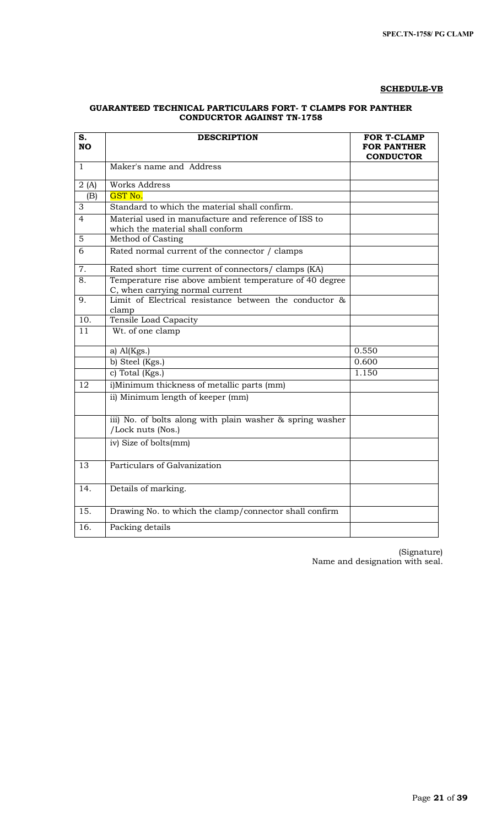# **SCHEDULE-VB**

# **GUARANTEED TECHNICAL PARTICULARS FORT- T CLAMPS FOR PANTHER CONDUCRTOR AGAINST TN-1758**

| S.<br><b>NO</b>   | <b>DESCRIPTION</b>                                                                         | <b>FOR T-CLAMP</b><br><b>FOR PANTHER</b><br><b>CONDUCTOR</b> |
|-------------------|--------------------------------------------------------------------------------------------|--------------------------------------------------------------|
| $\mathbf{1}$      | Maker's name and Address                                                                   |                                                              |
| 2(A)              | Works Address                                                                              |                                                              |
| (B)               | GST No.                                                                                    |                                                              |
| 3                 | Standard to which the material shall confirm.                                              |                                                              |
| $\overline{4}$    | Material used in manufacture and reference of ISS to<br>which the material shall conform   |                                                              |
| 5                 | Method of Casting                                                                          |                                                              |
| 6                 | Rated normal current of the connector / clamps                                             |                                                              |
| $\overline{7}$ .  | Rated short time current of connectors/ clamps (KA)                                        |                                                              |
| 8.                | Temperature rise above ambient temperature of 40 degree<br>C, when carrying normal current |                                                              |
| 9.                | Limit of Electrical resistance between the conductor &<br>clamp                            |                                                              |
| $\overline{10}$ . | Tensile Load Capacity                                                                      |                                                              |
| 11                | Wt. of one clamp                                                                           |                                                              |
|                   | a) $Al(Kgs.)$                                                                              | 0.550                                                        |
|                   | b) Steel (Kgs.)                                                                            | 0.600                                                        |
|                   | c) Total ( $Kgs.$ )                                                                        | 1.150                                                        |
| $\overline{12}$   | i)Minimum thickness of metallic parts (mm)                                                 |                                                              |
|                   | ii) Minimum length of keeper (mm)                                                          |                                                              |
|                   | iii) No. of bolts along with plain washer & spring washer<br>/Lock nuts (Nos.)             |                                                              |
|                   | iv) Size of bolts(mm)                                                                      |                                                              |
| $\overline{13}$   | Particulars of Galvanization                                                               |                                                              |
| $\overline{14}$ . | Details of marking.                                                                        |                                                              |
| 15.               | Drawing No. to which the clamp/connector shall confirm                                     |                                                              |
| 16.               | Packing details                                                                            |                                                              |

 (Signature) Name and designation with seal.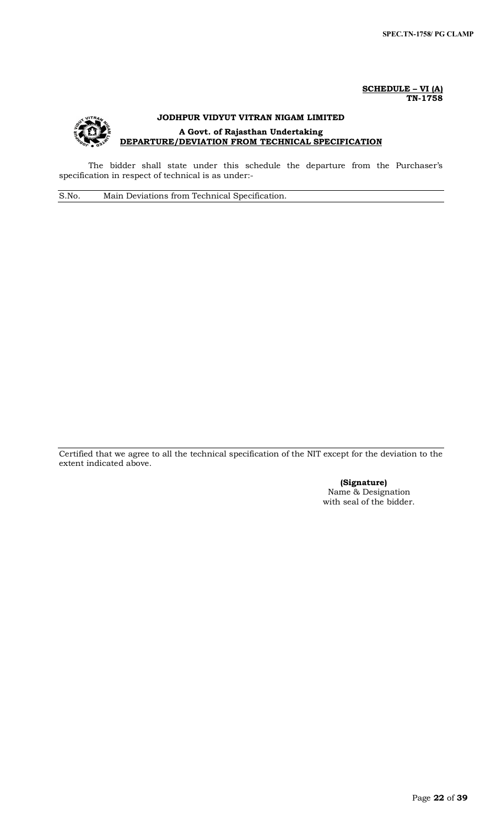**SCHEDULE – VI (A) TN-1758**



The bidder shall state under this schedule the departure from the Purchaser's specification in respect of technical is as under:-

S.No. Main Deviations from Technical Specification.

Certified that we agree to all the technical specification of the NIT except for the deviation to the extent indicated above.

> **(Signature)** Name & Designation with seal of the bidder.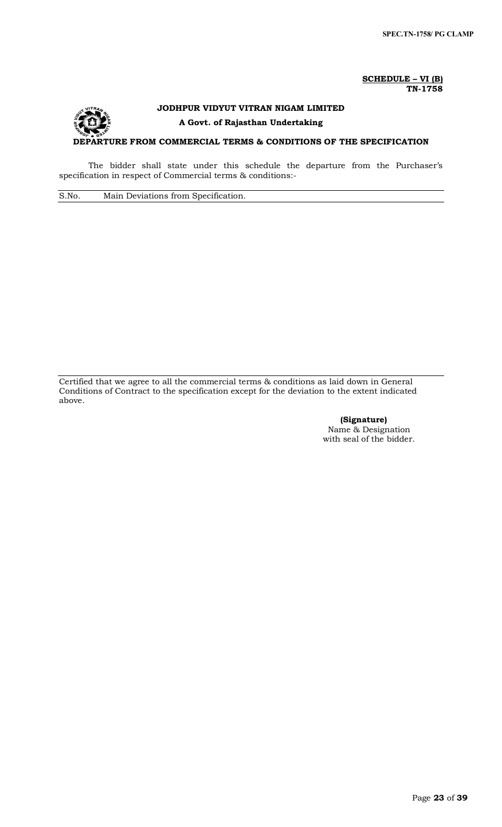#### **SCHEDULE – VI (B) TN-1758**

# **JODHPUR VIDYUT VITRAN NIGAM LIMITED A Govt. of Rajasthan Undertaking DEPARTURE FROM COMMERCIAL TERMS & CONDITIONS OF THE SPECIFICATION**

The bidder shall state under this schedule the departure from the Purchaser's specification in respect of Commercial terms & conditions:-

S.No. Main Deviations from Specification.

Certified that we agree to all the commercial terms & conditions as laid down in General Conditions of Contract to the specification except for the deviation to the extent indicated above.

> **(Signature)** Name & Designation with seal of the bidder.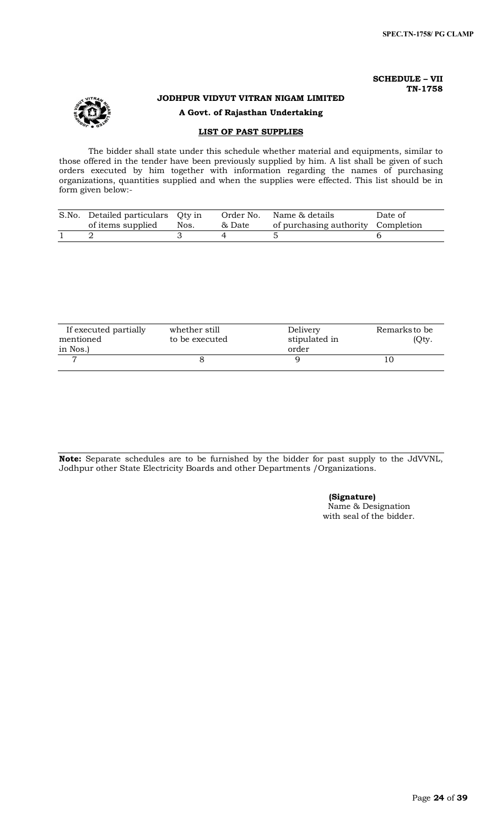# **SCHEDULE – VII TN-1758**

# **JODHPUR VIDYUT VITRAN NIGAM LIMITED**

# **A Govt. of Rajasthan Undertaking**

# **LIST OF PAST SUPPLIES**

The bidder shall state under this schedule whether material and equipments, similar to those offered in the tender have been previously supplied by him. A list shall be given of such orders executed by him together with information regarding the names of purchasing organizations, quantities supplied and when the supplies were effected. This list should be in form given below:-

| S.No. Detailed particulars Qty in<br>of items supplied | Nos. | Order No.<br>& Date | Name & details<br>of purchasing authority Completion | Date of |
|--------------------------------------------------------|------|---------------------|------------------------------------------------------|---------|
|                                                        |      |                     |                                                      |         |

| If executed partially<br>mentioned<br>in Nos.) | whether still<br>to be executed | Delivery<br>stipulated in<br>order | Remarks to be<br>(Qty. |
|------------------------------------------------|---------------------------------|------------------------------------|------------------------|
|                                                |                                 |                                    |                        |

**Note:** Separate schedules are to be furnished by the bidder for past supply to the JdVVNL, Jodhpur other State Electricity Boards and other Departments /Organizations.

# **(Signature)**

Name & Designation with seal of the bidder.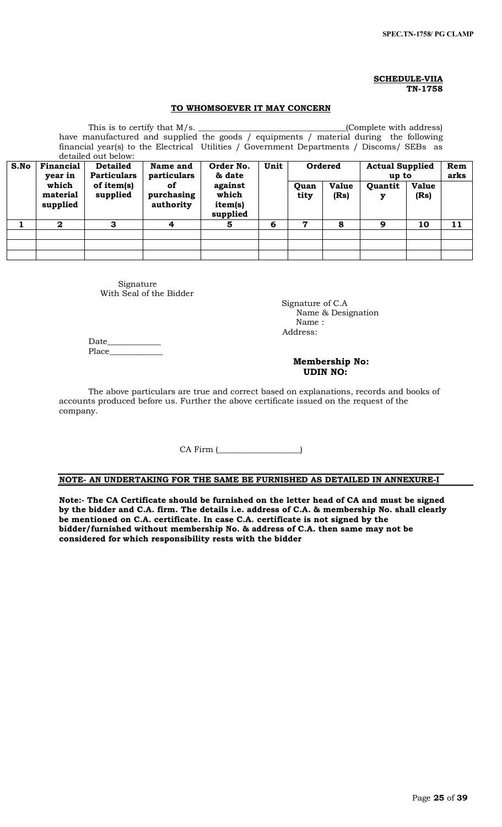# **SCHEDULE-VIIA TN-1758**

# **TO WHOMSOEVER IT MAY CONCERN**

|      | This is to certify that M/s. |                    |                                                                                           |           |      |       |              | (Complete with address) |              |     |
|------|------------------------------|--------------------|-------------------------------------------------------------------------------------------|-----------|------|-------|--------------|-------------------------|--------------|-----|
|      |                              |                    | have manufactured and supplied the goods / equipments / material during the following     |           |      |       |              |                         |              |     |
|      |                              |                    | financial year(s) to the Electrical Utilities / Government Departments / Discoms/ SEBs as |           |      |       |              |                         |              |     |
|      | detailed out below:          |                    |                                                                                           |           |      |       |              |                         |              |     |
| S.No | Financial                    | <b>Detailed</b>    | Name and                                                                                  | Order No. | Unit |       | Ordered      | <b>Actual Supplied</b>  |              | Rem |
|      | year in                      | <b>Particulars</b> | particulars                                                                               | & date    |      | up to |              | arks                    |              |     |
|      | which                        | of item(s)         | of.                                                                                       | against   |      | Quan  | <b>Value</b> | Quantit                 | <b>Value</b> |     |
|      | material                     | supplied           | purchasing                                                                                | which     |      | tity  | (Rs)         | у                       | (Rs)         |     |
|      | supplied                     |                    | authority                                                                                 | item(s)   |      |       |              |                         |              |     |
|      |                              |                    |                                                                                           | supplied  |      |       |              |                         |              |     |
|      | $\mathbf{2}$                 | 3                  | 4                                                                                         | 5         | 6    | 7     | 8            | 9                       | 10           | 11  |
|      |                              |                    |                                                                                           |           |      |       |              |                         |              |     |
|      |                              |                    |                                                                                           |           |      |       |              |                         |              |     |
|      |                              |                    |                                                                                           |           |      |       |              |                         |              |     |

Signature With Seal of the Bidder

 Signature of C.A Name & Designation Name : Address:

Date\_\_\_\_\_\_\_\_\_\_\_\_\_ Place

# **Membership No: UDIN NO:**

The above particulars are true and correct based on explanations, records and books of accounts produced before us. Further the above certificate issued on the request of the company.

CA Firm (

# **NOTE- AN UNDERTAKING FOR THE SAME BE FURNISHED AS DETAILED IN ANNEXURE-I**

**Note:- The CA Certificate should be furnished on the letter head of CA and must be signed by the bidder and C.A. firm. The details i.e. address of C.A. & membership No. shall clearly be mentioned on C.A. certificate. In case C.A. certificate is not signed by the bidder/furnished without membership No. & address of C.A. then same may not be considered for which responsibility rests with the bidder**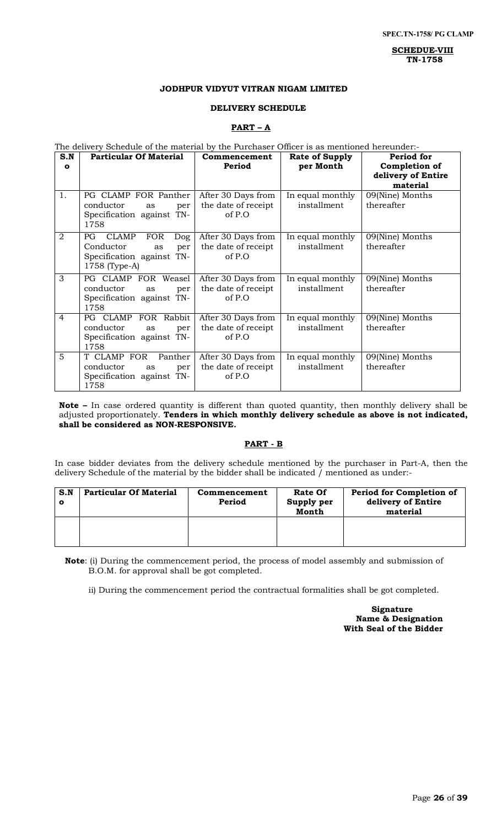**SCHEDUE-VIII TN-1758**

# **JODHPUR VIDYUT VITRAN NIGAM LIMITED**

# **DELIVERY SCHEDULE**

#### **PART – A**

# The delivery Schedule of the material by the Purchaser Officer is as mentioned hereunder:-

| S.N<br>$\mathbf{o}$ | <b>Particular Of Material</b>                                                                                           | Commencement<br>Period                                | <b>Rate of Supply</b><br>per Month | Period for<br>Completion of<br>delivery of Entire<br>material |
|---------------------|-------------------------------------------------------------------------------------------------------------------------|-------------------------------------------------------|------------------------------------|---------------------------------------------------------------|
| 1.                  | PG CLAMP FOR Panther<br>conductor<br>per<br>as<br>Specification against TN-<br>1758                                     | After 30 Days from<br>the date of receipt<br>of P.O   | In equal monthly<br>installment    | 09(Nine) Months<br>thereafter                                 |
| $\overline{2}$      | <b>FOR</b><br>PG.<br><b>CLAMP</b><br><b>Dog</b><br>Conductor<br>per<br>as<br>Specification against TN-<br>1758 (Type-A) | After 30 Days from<br>the date of receipt<br>of $P.O$ | In equal monthly<br>installment    | 09(Nine) Months<br>thereafter                                 |
| 3                   | PG CLAMP FOR Weasel<br>conductor<br>per<br>as<br>Specification against TN-<br>1758                                      | After 30 Days from<br>the date of receipt<br>of P.O   | In equal monthly<br>installment    | 09(Nine) Months<br>thereafter                                 |
| $\overline{4}$      | PG CLAMP FOR Rabbit<br>conductor<br>as<br>per<br>Specification against TN-<br>1758                                      | After 30 Days from<br>the date of receipt<br>of P.O   | In equal monthly<br>installment    | 09(Nine) Months<br>thereafter                                 |
| 5                   | Panther<br>T CLAMP FOR<br>conductor<br>as<br>per<br>Specification against TN-<br>1758                                   | After 30 Days from<br>the date of receipt<br>of P.O   | In equal monthly<br>installment    | 09(Nine) Months<br>thereafter                                 |

**Note –** In case ordered quantity is different than quoted quantity, then monthly delivery shall be adjusted proportionately. **Tenders in which monthly delivery schedule as above is not indicated, shall be considered as NON-RESPONSIVE.**

# **PART - B**

In case bidder deviates from the delivery schedule mentioned by the purchaser in Part-A, then the delivery Schedule of the material by the bidder shall be indicated / mentioned as under:-

| S.N | <b>Particular Of Material</b> | Commencement<br>Period | Rate Of<br>Supply per<br>Month | <b>Period for Completion of</b><br>delivery of Entire<br>material |
|-----|-------------------------------|------------------------|--------------------------------|-------------------------------------------------------------------|
|     |                               |                        |                                |                                                                   |

**Note**: (i) During the commencement period, the process of model assembly and submission of B.O.M. for approval shall be got completed.

ii) During the commencement period the contractual formalities shall be got completed.

 **Signature Name & Designation With Seal of the Bidder**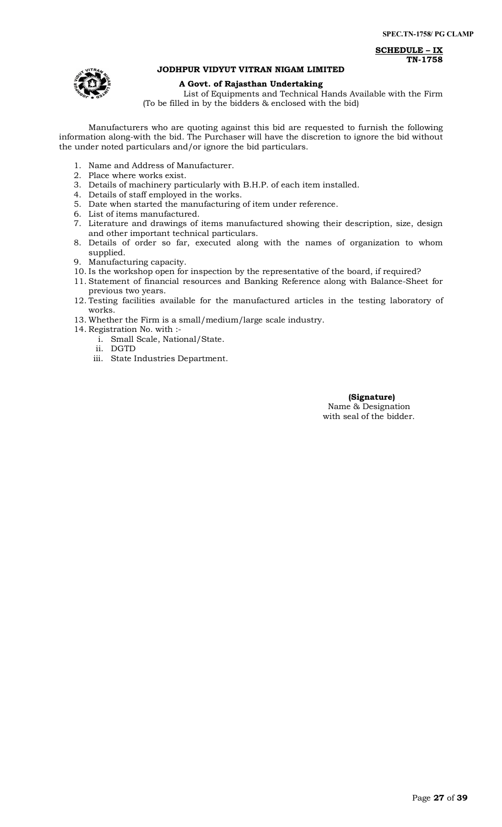**SCHEDULE – IX TN-1758**



# **JODHPUR VIDYUT VITRAN NIGAM LIMITED**

# **A Govt. of Rajasthan Undertaking**

List of Equipments and Technical Hands Available with the Firm (To be filled in by the bidders & enclosed with the bid)

Manufacturers who are quoting against this bid are requested to furnish the following information along-with the bid. The Purchaser will have the discretion to ignore the bid without the under noted particulars and/or ignore the bid particulars.

- 1. Name and Address of Manufacturer.
- 2. Place where works exist.
- 3. Details of machinery particularly with B.H.P. of each item installed.
- 4. Details of staff employed in the works.
- 5. Date when started the manufacturing of item under reference.
- 6. List of items manufactured.
- 7. Literature and drawings of items manufactured showing their description, size, design and other important technical particulars.
- 8. Details of order so far, executed along with the names of organization to whom supplied.
- 9. Manufacturing capacity.
- 10. Is the workshop open for inspection by the representative of the board, if required?
- 11. Statement of financial resources and Banking Reference along with Balance-Sheet for previous two years.
- 12. Testing facilities available for the manufactured articles in the testing laboratory of works.
- 13. Whether the Firm is a small/medium/large scale industry.
- 14. Registration No. with :
	- i. Small Scale, National/State.
		- ii. DGTD
	- iii. State Industries Department.

 **(Signature)** Name & Designation with seal of the bidder.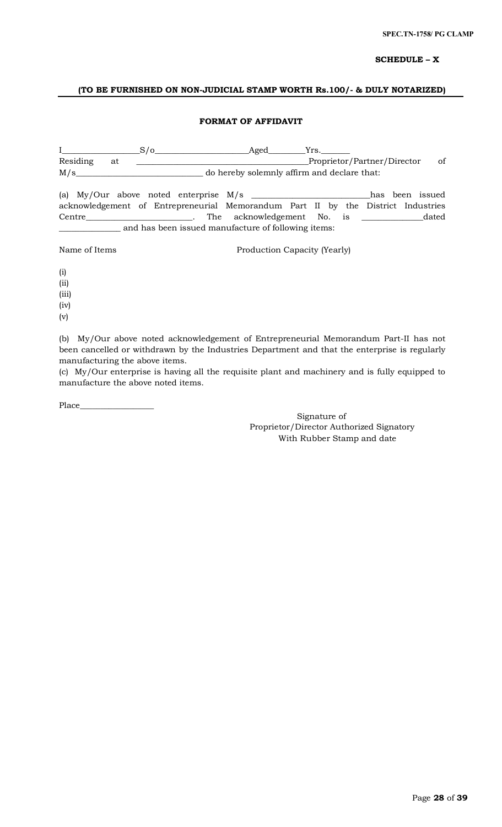# **SCHEDULE – X**

# **(TO BE FURNISHED ON NON-JUDICIAL STAMP WORTH Rs.100/- & DULY NOTARIZED)**

# **FORMAT OF AFFIDAVIT**

I\_\_\_\_\_\_\_\_\_\_\_\_\_\_\_\_\_\_\_S/o\_\_\_\_\_\_\_\_\_\_\_\_\_\_\_\_\_\_\_\_\_\_\_Aged\_\_\_\_\_\_\_\_\_Yrs.\_\_\_\_\_\_\_ Residing at \_\_\_\_\_\_\_\_\_\_\_\_\_\_\_\_\_\_\_\_\_\_\_\_\_\_\_\_\_\_\_\_\_\_\_\_\_\_\_\_\_\_Proprietor/Partner/Director of M/s\_\_\_\_\_\_\_\_\_\_\_\_\_\_\_\_\_\_\_\_\_\_\_\_\_\_\_\_\_\_\_ do hereby solemnly affirm and declare that: (a) My/Our above noted enterprise M/s \_\_\_\_\_\_\_\_\_\_\_\_\_\_\_\_\_\_\_\_\_\_\_\_\_\_\_\_\_has been issued acknowledgement of Entrepreneurial Memorandum Part II by the District Industries Centre\_\_\_\_\_\_\_\_\_\_\_\_\_\_\_\_\_\_\_\_\_\_\_\_\_\_. The acknowledgement No. is \_\_\_\_\_\_\_\_\_\_\_\_\_\_\_dated \_\_\_\_\_\_\_\_\_\_\_\_\_\_\_ and has been issued manufacture of following items:

Name of Items Production Capacity (Yearly)

(i)

(ii)

(iii) (iv)

(v)

(b) My/Our above noted acknowledgement of Entrepreneurial Memorandum Part-II has not been cancelled or withdrawn by the Industries Department and that the enterprise is regularly manufacturing the above items.

(c) My/Our enterprise is having all the requisite plant and machinery and is fully equipped to manufacture the above noted items.

Place\_\_\_\_\_\_\_\_\_\_\_\_\_\_\_\_\_\_

Signature of Proprietor/Director Authorized Signatory With Rubber Stamp and date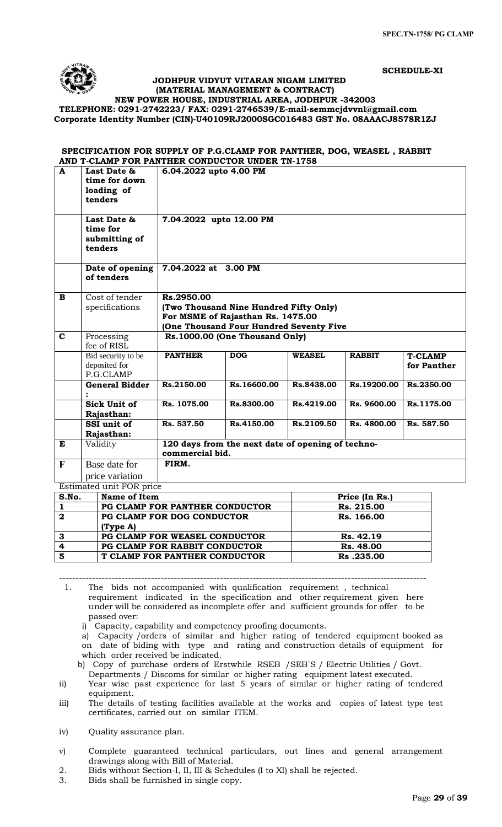**SCHEDULE-XI**



 **JODHPUR VIDYUT VITARAN NIGAM LIMITED (MATERIAL MANAGEMENT & CONTRACT)**

**NEW POWER HOUSE, INDUSTRIAL AREA, JODHPUR -342003 TELEPHONE: 0291-2742223/ FAX: 0291-2746539/E-mail-[semmcjdvvnl@gmail.com](mailto:semmcjdvvnl@gmail.com)**

**Corporate Identity Number (CIN)-U40109RJ2000SGC016483 GST No. 08AAACJ8578R1ZJ**

# **SPECIFICATION FOR SUPPLY OF P.G.CLAMP FOR PANTHER, DOG, WEASEL , RABBIT AND T-CLAMP FOR PANTHER CONDUCTOR UNDER TN-1758**

| $\mathbf{A}$                 | Last Date &                        | 6.04.2022 upto 4.00 PM         |                                                   |               |                          |                |  |
|------------------------------|------------------------------------|--------------------------------|---------------------------------------------------|---------------|--------------------------|----------------|--|
|                              | time for down<br>loading of        |                                |                                                   |               |                          |                |  |
|                              | tenders                            |                                |                                                   |               |                          |                |  |
|                              |                                    |                                |                                                   |               |                          |                |  |
|                              | Last Date &                        | 7.04.2022 upto 12.00 PM        |                                                   |               |                          |                |  |
|                              | time for                           |                                |                                                   |               |                          |                |  |
|                              | submitting of                      |                                |                                                   |               |                          |                |  |
|                              | tenders                            |                                |                                                   |               |                          |                |  |
|                              | Date of opening                    | 7.04.2022 at 3.00 PM           |                                                   |               |                          |                |  |
|                              | of tenders                         |                                |                                                   |               |                          |                |  |
|                              |                                    |                                |                                                   |               |                          |                |  |
| $\mathbf{B}$                 | Cost of tender<br>specifications   | Rs.2950.00                     | (Two Thousand Nine Hundred Fifty Only)            |               |                          |                |  |
|                              |                                    |                                | For MSME of Rajasthan Rs. 1475.00                 |               |                          |                |  |
|                              |                                    |                                | (One Thousand Four Hundred Seventy Five           |               |                          |                |  |
| $\mathbf{C}$                 | Processing                         | Rs.1000.00 (One Thousand Only) |                                                   |               |                          |                |  |
|                              | fee of RISL                        |                                |                                                   |               |                          |                |  |
|                              | Bid security to be                 | <b>PANTHER</b>                 | <b>DOG</b>                                        | <b>WEASEL</b> | <b>RABBIT</b>            | <b>T-CLAMP</b> |  |
|                              | deposited for                      |                                |                                                   |               |                          | for Panther    |  |
|                              | P.G.CLAMP<br><b>General Bidder</b> | Rs.2150.00                     | Rs.16600.00                                       | Rs.8438.00    | Rs.19200.00              | Rs.2350.00     |  |
|                              |                                    |                                |                                                   |               |                          |                |  |
|                              | Sick Unit of                       | Rs. 1075.00                    | Rs.8300.00                                        | Rs.4219.00    | Rs. 9600.00              | Rs.1175.00     |  |
|                              | Rajasthan:                         |                                |                                                   |               |                          |                |  |
|                              | SSI unit of                        | Rs. 537.50                     | Rs.4150.00                                        | Rs.2109.50    | Rs. 4800.00              | Rs. 587.50     |  |
|                              | Rajasthan:                         |                                |                                                   |               |                          |                |  |
| E                            | Validity                           |                                | 120 days from the next date of opening of techno- |               |                          |                |  |
|                              |                                    | commercial bid.                |                                                   |               |                          |                |  |
| $\mathbf{F}$                 | Base date for                      | FIRM.                          |                                                   |               |                          |                |  |
|                              | price variation                    |                                |                                                   |               |                          |                |  |
|                              | Estimated unit FOR price           |                                |                                                   |               |                          |                |  |
| S.No.                        | Name of Item                       | PG CLAMP FOR PANTHER CONDUCTOR |                                                   |               | Price (In Rs.)           |                |  |
| $\mathbf{1}$<br>$\mathbf{2}$ |                                    | PG CLAMP FOR DOG CONDUCTOR     |                                                   |               | Rs. 215.00<br>Rs. 166.00 |                |  |
|                              | (Type A)                           |                                |                                                   |               |                          |                |  |
| 3                            |                                    | PG CLAMP FOR WEASEL CONDUCTOR  |                                                   |               | Rs. 42.19                |                |  |
| $\overline{4}$               |                                    | PG CLAMP FOR RABBIT CONDUCTOR  |                                                   | Rs. 48.00     |                          |                |  |

---------------------------------------------------------------------------------------------------------------- 1. The bids not accompanied with qualification requirement , technical requirement indicated in the specification and other requirement given here under will be considered as incomplete offer and sufficient grounds for offer to be passed over:

i) Capacity, capability and competency proofing documents.

**5 T CLAMP FOR PANTHER CONDUCTOR Rs .235.00**

a) Capacity /orders of similar and higher rating of tendered equipment booked as on date of biding with type and rating and construction details of equipment for which order received be indicated.

b) Copy of purchase orders of Erstwhile RSEB /SEB`S / Electric Utilities / Govt.

Departments / Discoms for similar or higher rating equipment latest executed. ii) Year wise past experience for last 5 years of similar or higher rating of tendered equipment.

iii) The details of testing facilities available at the works and copies of latest type test certificates, carried out on similar ITEM.

iv) Quality assurance plan.

v) Complete guaranteed technical particulars, out lines and general arrangement drawings along with Bill of Material.

- 2. Bids without Section-I, II, III & Schedules (I to XI) shall be rejected.
- 3. Bids shall be furnished in single copy.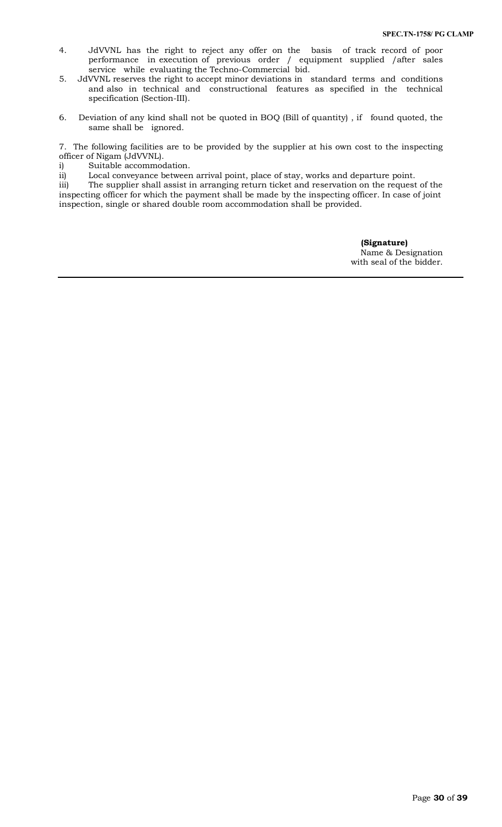- 4. JdVVNL has the right to reject any offer on the basis of track record of poor performance in execution of previous order / equipment supplied /after sales service while evaluating the Techno-Commercial bid.
- 5. JdVVNL reserves the right to accept minor deviations in standard terms and conditions and also in technical and constructional features as specified in the technical specification (Section-III).
- 6. Deviation of any kind shall not be quoted in BOQ (Bill of quantity) , if found quoted, the same shall be ignored.

7. The following facilities are to be provided by the supplier at his own cost to the inspecting officer of Nigam (JdVVNL).

i) Suitable accommodation.

ii) Local conveyance between arrival point, place of stay, works and departure point.

iii) The supplier shall assist in arranging return ticket and reservation on the request of the inspecting officer for which the payment shall be made by the inspecting officer. In case of joint inspection, single or shared double room accommodation shall be provided.

> **(Signature)** Name & Designation with seal of the bidder.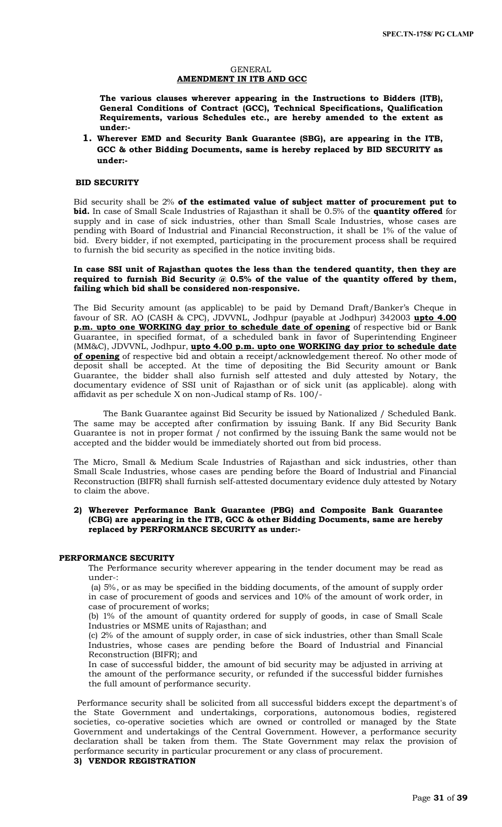### GENERAL **AMENDMENT IN ITB AND GCC**

**The various clauses wherever appearing in the Instructions to Bidders (ITB), General Conditions of Contract (GCC), Technical Specifications, Qualification Requirements, various Schedules etc., are hereby amended to the extent as under:-**

**1. Wherever EMD and Security Bank Guarantee (SBG), are appearing in the ITB, GCC & other Bidding Documents, same is hereby replaced by BID SECURITY as under:-**

# **BID SECURITY**

Bid security shall be 2% **of the estimated value of subject matter of procurement put to bid.** In case of Small Scale Industries of Rajasthan it shall be 0.5% of the **quantity offered** for supply and in case of sick industries, other than Small Scale Industries, whose cases are pending with Board of Industrial and Financial Reconstruction, it shall be 1% of the value of bid. Every bidder, if not exempted, participating in the procurement process shall be required to furnish the bid security as specified in the notice inviting bids.

#### **In case SSI unit of Rajasthan quotes the less than the tendered quantity, then they are required to furnish Bid Security @ 0.5% of the value of the quantity offered by them, failing which bid shall be considered non-responsive.**

The Bid Security amount (as applicable) to be paid by Demand Draft/Banker's Cheque in favour of SR. AO (CASH & CPC), JDVVNL, Jodhpur (payable at Jodhpur) 342003 **upto 4.00 p.m. upto one WORKING day prior to schedule date of opening** of respective bid or Bank Guarantee, in specified format, of a scheduled bank in favor of Superintending Engineer (MM&C), JDVVNL, Jodhpur, **upto 4.00 p.m. upto one WORKING day prior to schedule date of opening** of respective bid and obtain a receipt/acknowledgement thereof. No other mode of deposit shall be accepted. At the time of depositing the Bid Security amount or Bank Guarantee, the bidder shall also furnish self attested and duly attested by Notary, the documentary evidence of SSI unit of Rajasthan or of sick unit (as applicable). along with affidavit as per schedule X on non-Judical stamp of Rs. 100/-

The Bank Guarantee against Bid Security be issued by Nationalized / Scheduled Bank. The same may be accepted after confirmation by issuing Bank. If any Bid Security Bank Guarantee is not in proper format / not confirmed by the issuing Bank the same would not be accepted and the bidder would be immediately shorted out from bid process.

The Micro, Small & Medium Scale Industries of Rajasthan and sick industries, other than Small Scale Industries, whose cases are pending before the Board of Industrial and Financial Reconstruction (BIFR) shall furnish self-attested documentary evidence duly attested by Notary to claim the above.

#### **2) Wherever Performance Bank Guarantee (PBG) and Composite Bank Guarantee (CBG) are appearing in the ITB, GCC & other Bidding Documents, same are hereby replaced by PERFORMANCE SECURITY as under:-**

# **PERFORMANCE SECURITY**

The Performance security wherever appearing in the tender document may be read as under-:

(a) 5%, or as may be specified in the bidding documents, of the amount of supply order in case of procurement of goods and services and 10% of the amount of work order, in case of procurement of works;

(b) 1% of the amount of quantity ordered for supply of goods, in case of Small Scale Industries or MSME units of Rajasthan; and

(c) 2% of the amount of supply order, in case of sick industries, other than Small Scale Industries, whose cases are pending before the Board of Industrial and Financial Reconstruction (BIFR); and

In case of successful bidder, the amount of bid security may be adjusted in arriving at the amount of the performance security, or refunded if the successful bidder furnishes the full amount of performance security.

 Performance security shall be solicited from all successful bidders except the department's of the State Government and undertakings, corporations, autonomous bodies, registered societies, co-operative societies which are owned or controlled or managed by the State Government and undertakings of the Central Government. However, a performance security declaration shall be taken from them. The State Government may relax the provision of performance security in particular procurement or any class of procurement.

# **3) VENDOR REGISTRATION**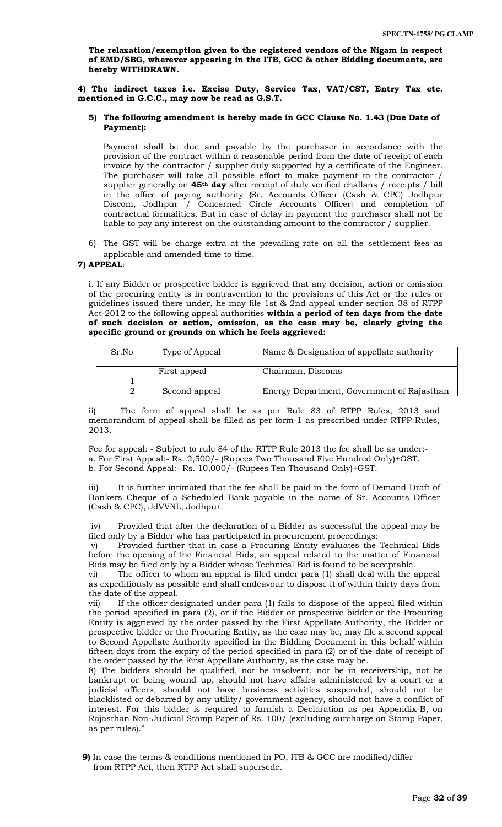**The relaxation/exemption given to the registered vendors of the Nigam in respect of EMD/SBG, wherever appearing in the ITB, GCC & other Bidding documents, are hereby WITHDRAWN.** 

**4) The indirect taxes i.e. Excise Duty, Service Tax, VAT/CST, Entry Tax etc. mentioned in G.C.C., may now be read as G.S.T.** 

### **5) The following amendment is hereby made in GCC Clause No. 1.43 (Due Date of Payment):**

Payment shall be due and payable by the purchaser in accordance with the provision of the contract within a reasonable period from the date of receipt of each invoice by the contractor / supplier duly supported by a certificate of the Engineer. The purchaser will take all possible effort to make payment to the contractor supplier generally on **45th day** after receipt of duly verified challans / receipts / bill in the office of paying authority {Sr. Accounts Officer (Cash & CPC) Jodhpur Discom, Jodhpur / Concerned Circle Accounts Officer} and completion of contractual formalities. But in case of delay in payment the purchaser shall not be liable to pay any interest on the outstanding amount to the contractor / supplier.

6) The GST will be charge extra at the prevailing rate on all the settlement fees as applicable and amended time to time.

# **7) APPEAL**:

i. If any Bidder or prospective bidder is aggrieved that any decision, action or omission of the procuring entity is in contravention to the provisions of this Act or the rules or guidelines issued there under, he may file 1st & 2nd appeal under section 38 of RTPP Act-2012 to the following appeal authorities **within a period of ten days from the date of such decision or action, omission, as the case may be, clearly giving the specific ground or grounds on which he feels aggrieved:** 

| Sr.No | Type of Appeal | Name & Designation of appellate authority  |
|-------|----------------|--------------------------------------------|
|       | First appeal   | Chairman, Discoms                          |
|       |                |                                            |
|       | Second appeal  | Energy Department, Government of Rajasthan |

ii) The form of appeal shall be as per Rule 83 of RTPP Rules, 2013 and memorandum of appeal shall be filled as per form-1 as prescribed under RTPP Rules, 2013.

Fee for appeal: - Subject to rule 84 of the RTTP Rule 2013 the fee shall be as under: a. For First Appeal:- Rs. 2,500/- (Rupees Two Thousand Five Hundred Only)+GST. b. For Second Appeal:- Rs. 10,000/- (Rupees Ten Thousand Only)+GST.

iii) It is further intimated that the fee shall be paid in the form of Demand Draft of Bankers Cheque of a Scheduled Bank payable in the name of Sr. Accounts Officer (Cash & CPC), JdVVNL, Jodhpur.

iv) Provided that after the declaration of a Bidder as successful the appeal may be filed only by a Bidder who has participated in procurement proceedings:

v) Provided further that in case a Procuring Entity evaluates the Technical Bids before the opening of the Financial Bids, an appeal related to the matter of Financial Bids may be filed only by a Bidder whose Technical Bid is found to be acceptable.

vi) The officer to whom an appeal is filed under para (1) shall deal with the appeal as expeditiously as possible and shall endeavour to dispose it of within thirty days from the date of the appeal.

vii) If the officer designated under para (1) fails to dispose of the appeal filed within the period specified in para (2), or if the Bidder or prospective bidder or the Procuring Entity is aggrieved by the order passed by the First Appellate Authority, the Bidder or prospective bidder or the Procuring Entity, as the case may be, may file a second appeal to Second Appellate Authority specified in the Bidding Document in this behalf within fifteen days from the expiry of the period specified in para (2) or of the date of receipt of the order passed by the First Appellate Authority, as the case may be.

8) The bidders should be qualified, not be insolvent, not be in receivership, not be bankrupt or being wound up, should not have affairs administered by a court or a judicial officers, should not have business activities suspended, should not be blacklisted or debarred by any utility/ government agency, should not have a conflict of interest. For this bidder is required to furnish a Declaration as per Appendix-B, on Rajasthan Non-Judicial Stamp Paper of Rs. 100/ (excluding surcharge on Stamp Paper, as per rules)."

**9)** In case the terms & conditions mentioned in PO, ITB & GCC are modified/differ from RTPP Act, then RTPP Act shall supersede.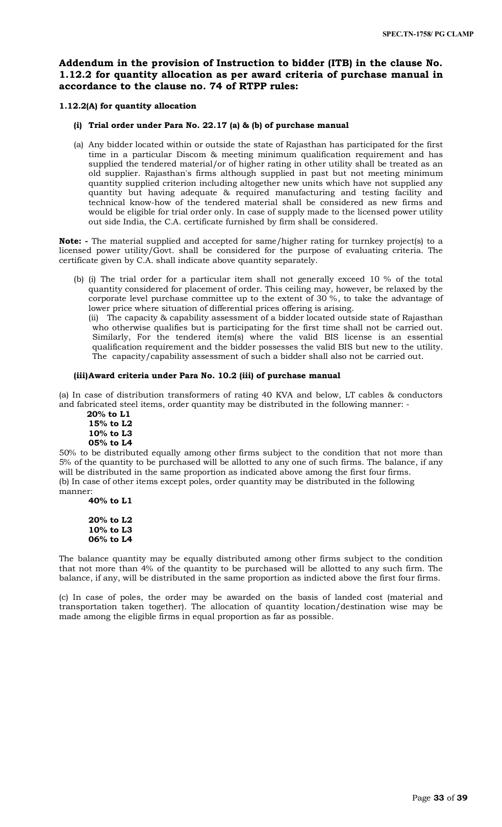# **Addendum in the provision of Instruction to bidder (ITB) in the clause No. 1.12.2 for quantity allocation as per award criteria of purchase manual in accordance to the clause no. 74 of RTPP rules:**

# **1.12.2(A) for quantity allocation**

# **(i) Trial order under Para No. 22.17 (a) & (b) of purchase manual**

(a) Any bidder located within or outside the state of Rajasthan has participated for the first time in a particular Discom & meeting minimum qualification requirement and has supplied the tendered material/or of higher rating in other utility shall be treated as an old supplier. Rajasthan's firms although supplied in past but not meeting minimum quantity supplied criterion including altogether new units which have not supplied any quantity but having adequate & required manufacturing and testing facility and technical know-how of the tendered material shall be considered as new firms and would be eligible for trial order only. In case of supply made to the licensed power utility out side India, the C.A. certificate furnished by firm shall be considered.

**Note: -** The material supplied and accepted for same/higher rating for turnkey project(s) to a licensed power utility/Govt. shall be considered for the purpose of evaluating criteria. The certificate given by C.A. shall indicate above quantity separately.

(b) (i) The trial order for a particular item shall not generally exceed 10 % of the total quantity considered for placement of order. This ceiling may, however, be relaxed by the corporate level purchase committee up to the extent of 30 %, to take the advantage of lower price where situation of differential prices offering is arising.

(ii) The capacity & capability assessment of a bidder located outside state of Rajasthan who otherwise qualifies but is participating for the first time shall not be carried out. Similarly, For the tendered item(s) where the valid BIS license is an essential qualification requirement and the bidder possesses the valid BIS but new to the utility. The capacity/capability assessment of such a bidder shall also not be carried out.

# **(iii)Award criteria under Para No. 10.2 (iii) of purchase manual**

(a) In case of distribution transformers of rating 40 KVA and below, LT cables & conductors and fabricated steel items, order quantity may be distributed in the following manner: -

 **20% to L1 15% to L2 10% to L3 05% to L4**

50% to be distributed equally among other firms subject to the condition that not more than 5% of the quantity to be purchased will be allotted to any one of such firms. The balance, if any will be distributed in the same proportion as indicated above among the first four firms. (b) In case of other items except poles, order quantity may be distributed in the following manner:

**40% to L1**

**20% to L2 10% to L3 06% to L4**

The balance quantity may be equally distributed among other firms subject to the condition that not more than 4% of the quantity to be purchased will be allotted to any such firm. The balance, if any, will be distributed in the same proportion as indicted above the first four firms.

(c) In case of poles, the order may be awarded on the basis of landed cost (material and transportation taken together). The allocation of quantity location/destination wise may be made among the eligible firms in equal proportion as far as possible.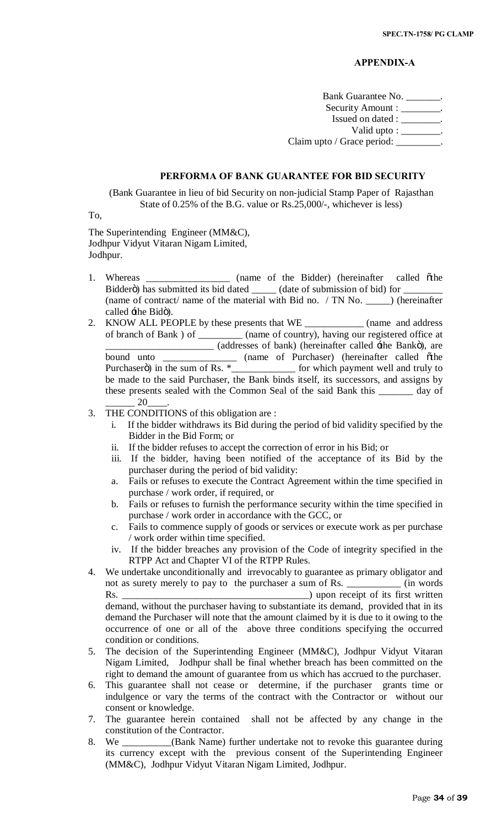# **APPENDIX-A**

Bank Guarantee No. \_\_\_\_\_\_\_. Security Amount : \_\_\_\_\_\_\_\_. Issued on dated : \_\_\_\_\_\_\_\_. Valid upto : \_\_\_\_\_\_\_\_. Claim upto / Grace period: \_\_\_\_\_\_\_\_\_.

# **PERFORMA OF BANK GUARANTEE FOR BID SECURITY**

(Bank Guarantee in lieu of bid Security on non-judicial Stamp Paper of Rajasthan State of 0.25% of the B.G. value or Rs.25,000/-, whichever is less)

To,

The Superintending Engineer (MM&C), Jodhpur Vidyut Vitaran Nigam Limited, Jodhpur.

- 1. Whereas \_\_\_\_\_\_\_\_\_\_\_\_\_\_\_\_ (name of the Bidder) (hereinafter called othe Bidderö) has submitted its bid dated \_\_\_\_\_\_\_ (date of submission of bid) for \_ (name of contract/ name of the material with Bid no. / TN No. \_\_\_\_\_) (hereinafter called  $\pm$ he Bidö).
- 2. KNOW ALL PEOPLE by these presents that WE \_\_\_\_\_\_\_\_\_\_\_\_\_ (name and address of branch of Bank ) of \_\_\_\_\_\_\_\_\_ (name of country), having our registered office at \_\_\_\_\_\_\_\_\_\_\_\_\_\_\_\_\_\_\_\_\_\_ (addresses of bank) (hereinafter called 'the Bank"), are bound unto \_\_\_\_\_\_\_\_\_\_\_\_\_\_\_ (name of Purchaser) (hereinafter called "the Purchaserö) in the sum of Rs.  $*$ \_\_\_\_\_\_\_\_\_\_\_\_\_\_\_\_\_\_ for which payment well and truly to be made to the said Purchaser, the Bank binds itself, its successors, and assigns by these presents sealed with the Common Seal of the said Bank this \_\_\_\_\_\_\_ day of 20
- 3. THE CONDITIONS of this obligation are :
	- i. If the bidder withdraws its Bid during the period of bid validity specified by the Bidder in the Bid Form; or
	- ii. If the bidder refuses to accept the correction of error in his Bid; or
	- iii. If the bidder, having been notified of the acceptance of its Bid by the purchaser during the period of bid validity:
	- a. Fails or refuses to execute the Contract Agreement within the time specified in purchase / work order, if required, or
	- b. Fails or refuses to furnish the performance security within the time specified in purchase / work order in accordance with the GCC, or
	- c. Fails to commence supply of goods or services or execute work as per purchase / work order within time specified.
	- iv. If the bidder breaches any provision of the Code of integrity specified in the RTPP Act and Chapter VI of the RTPP Rules.
- 4. We undertake unconditionally and irrevocably to guarantee as primary obligator and not as surety merely to pay to the purchaser a sum of Rs. \_\_\_\_\_\_\_\_\_\_\_ (in words Rs. \_\_\_\_\_\_\_\_\_\_\_\_\_\_\_\_\_\_\_\_\_\_\_\_\_\_\_\_\_\_\_\_\_\_\_\_\_\_) upon receipt of its first written demand, without the purchaser having to substantiate its demand, provided that in its demand the Purchaser will note that the amount claimed by it is due to it owing to the occurrence of one or all of the above three conditions specifying the occurred condition or conditions.
- 5. The decision of the Superintending Engineer (MM&C), Jodhpur Vidyut Vitaran Nigam Limited, Jodhpur shall be final whether breach has been committed on the right to demand the amount of guarantee from us which has accrued to the purchaser.
- 6. This guarantee shall not cease or determine, if the purchaser grants time or indulgence or vary the terms of the contract with the Contractor or without our consent or knowledge.
- 7. The guarantee herein contained shall not be affected by any change in the constitution of the Contractor.
- 8. We \_\_\_\_\_\_\_\_\_\_(Bank Name) further undertake not to revoke this guarantee during its currency except with the previous consent of the Superintending Engineer (MM&C), Jodhpur Vidyut Vitaran Nigam Limited, Jodhpur.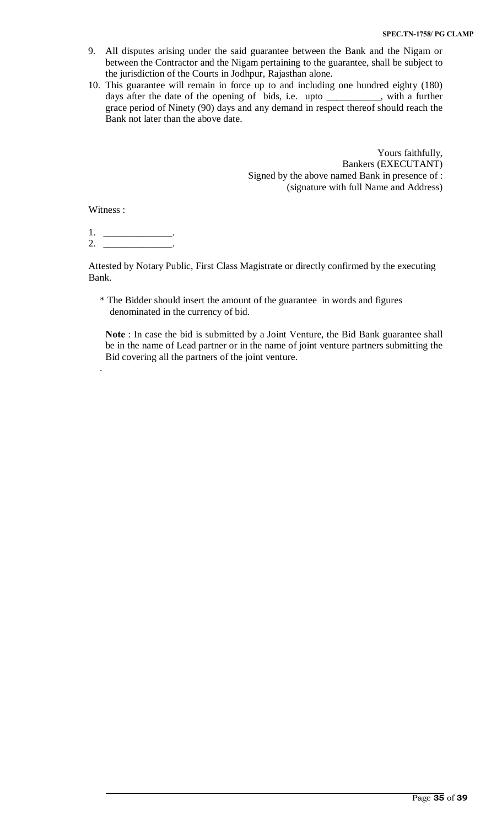- 9. All disputes arising under the said guarantee between the Bank and the Nigam or between the Contractor and the Nigam pertaining to the guarantee, shall be subject to the jurisdiction of the Courts in Jodhpur, Rajasthan alone.
- 10. This guarantee will remain in force up to and including one hundred eighty (180) days after the date of the opening of bids, i.e. upto \_\_\_\_\_\_\_\_\_\_\_, with a further grace period of Ninety (90) days and any demand in respect thereof should reach the Bank not later than the above date.

Yours faithfully, Bankers (EXECUTANT) Signed by the above named Bank in presence of : (signature with full Name and Address)

Witness :

.

 $1.$  \_\_\_\_\_\_\_\_\_\_\_\_\_\_\_\_\_\_. 2. \_\_\_\_\_\_\_\_\_\_\_\_\_\_.

Attested by Notary Public, First Class Magistrate or directly confirmed by the executing Bank.

\* The Bidder should insert the amount of the guarantee in words and figures denominated in the currency of bid.

**Note** : In case the bid is submitted by a Joint Venture, the Bid Bank guarantee shall be in the name of Lead partner or in the name of joint venture partners submitting the Bid covering all the partners of the joint venture.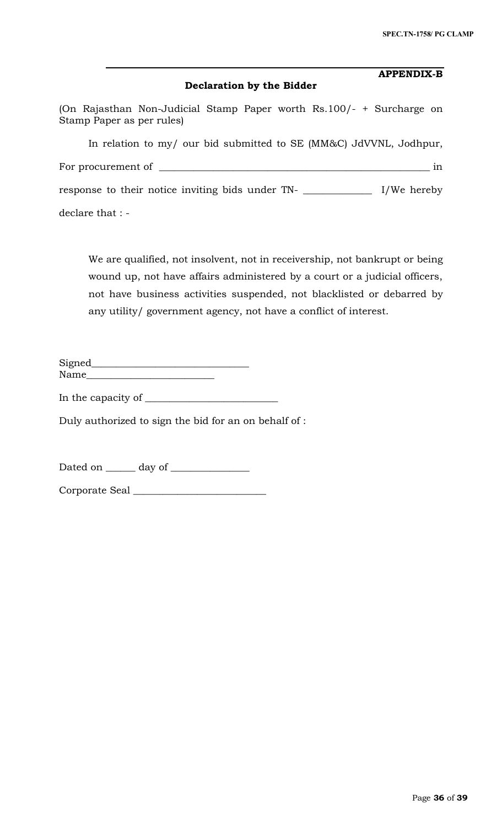| <b>APPENDIX-B</b><br>Declaration by the Bidder                                                    |               |
|---------------------------------------------------------------------------------------------------|---------------|
| (On Rajasthan Non-Judicial Stamp Paper worth Rs.100/- + Surcharge on<br>Stamp Paper as per rules) |               |
| In relation to my/ our bid submitted to SE (MM&C) JdVVNL, Jodhpur,                                |               |
| For procurement of $\_\_$                                                                         | 1n            |
| response to their notice inviting bids under TN-                                                  | $I/We$ hereby |
| declare that : -                                                                                  |               |

We are qualified, not insolvent, not in receivership, not bankrupt or being wound up, not have affairs administered by a court or a judicial officers, not have business activities suspended, not blacklisted or debarred by any utility/ government agency, not have a conflict of interest.

| Signed |  |
|--------|--|
| Name   |  |

In the capacity of  $\_\_$ 

Duly authorized to sign the bid for an on behalf of :

Dated on \_\_\_\_\_\_ day of \_\_\_\_\_\_\_\_\_\_\_\_\_\_\_\_

Corporate Seal \_\_\_\_\_\_\_\_\_\_\_\_\_\_\_\_\_\_\_\_\_\_\_\_\_\_\_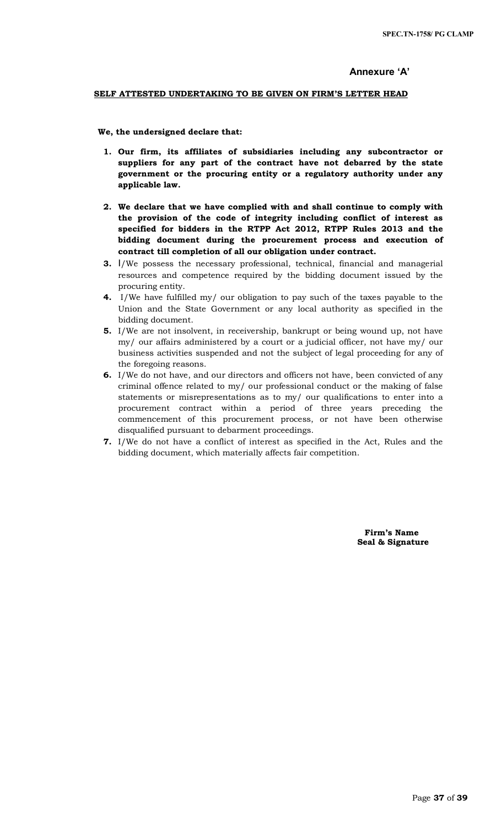# **Annexure 'A'**

# **SELF ATTESTED UNDERTAKING TO BE GIVEN ON FIRM'S LETTER HEAD**

 **We, the undersigned declare that:**

- **1. Our firm, its affiliates of subsidiaries including any subcontractor or suppliers for any part of the contract have not debarred by the state government or the procuring entity or a regulatory authority under any applicable law.**
- **2. We declare that we have complied with and shall continue to comply with the provision of the code of integrity including conflict of interest as specified for bidders in the RTPP Act 2012, RTPP Rules 2013 and the bidding document during the procurement process and execution of contract till completion of all our obligation under contract.**
- **3.** I/We possess the necessary professional, technical, financial and managerial resources and competence required by the bidding document issued by the procuring entity.
- **4.** I/We have fulfilled my/ our obligation to pay such of the taxes payable to the Union and the State Government or any local authority as specified in the bidding document.
- **5.** I/We are not insolvent, in receivership, bankrupt or being wound up, not have my/ our affairs administered by a court or a judicial officer, not have my/ our business activities suspended and not the subject of legal proceeding for any of the foregoing reasons.
- **6.** I/We do not have, and our directors and officers not have, been convicted of any criminal offence related to my/ our professional conduct or the making of false statements or misrepresentations as to my/ our qualifications to enter into a procurement contract within a period of three years preceding the commencement of this procurement process, or not have been otherwise disqualified pursuant to debarment proceedings.
- **7.** I/We do not have a conflict of interest as specified in the Act, Rules and the bidding document, which materially affects fair competition.

 **Firm's Name Seal & Signature**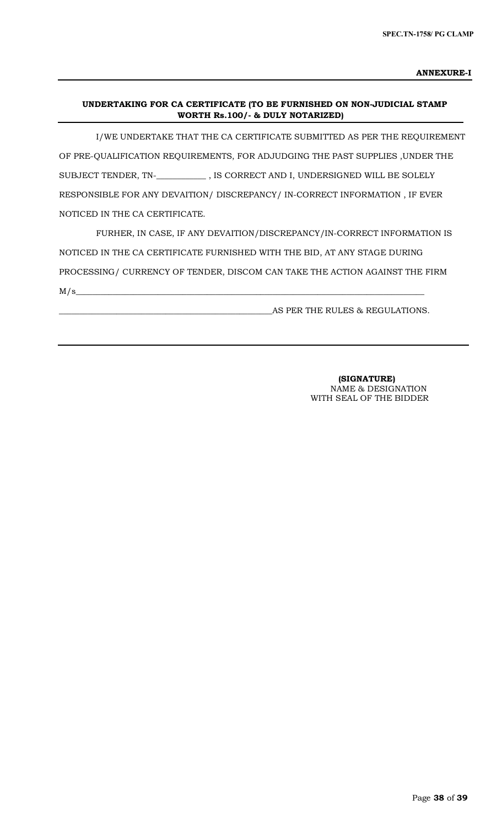# **UNDERTAKING FOR CA CERTIFICATE (TO BE FURNISHED ON NON-JUDICIAL STAMP WORTH Rs.100/- & DULY NOTARIZED)**

 I/WE UNDERTAKE THAT THE CA CERTIFICATE SUBMITTED AS PER THE REQUIREMENT OF PRE-QUALIFICATION REQUIREMENTS, FOR ADJUDGING THE PAST SUPPLIES ,UNDER THE SUBJECT TENDER, TN-\_**\_\_\_\_\_\_\_\_\_\_\_** , IS CORRECT AND I, UNDERSIGNED WILL BE SOLELY RESPONSIBLE FOR ANY DEVAITION/ DISCREPANCY/ IN-CORRECT INFORMATION , IF EVER NOTICED IN THE CA CERTIFICATE.

 FURHER, IN CASE, IF ANY DEVAITION/DISCREPANCY/IN-CORRECT INFORMATION IS NOTICED IN THE CA CERTIFICATE FURNISHED WITH THE BID, AT ANY STAGE DURING PROCESSING/ CURRENCY OF TENDER, DISCOM CAN TAKE THE ACTION AGAINST THE FIRM  $M/s$   $\sim$ 

\_\_\_\_\_\_\_\_\_\_\_\_\_\_\_\_\_\_\_\_\_\_\_\_\_\_\_\_\_\_\_\_\_\_\_\_\_\_\_\_\_\_\_\_\_\_\_\_\_\_\_\_AS PER THE RULES & REGULATIONS.

 **(SIGNATURE)** NAME & DESIGNATION WITH SEAL OF THE BIDDER